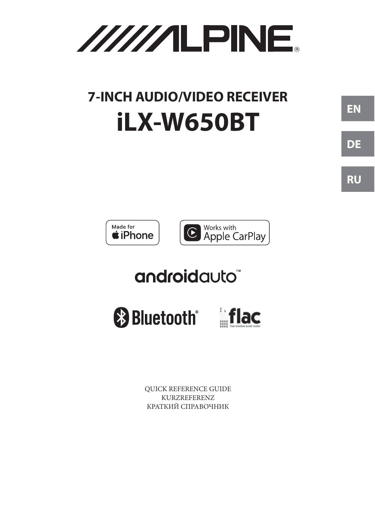

# **7-INCH AUDIO/VIDEO RECEIVER** iLX-W650BT



## androidauto<sup>\*</sup>



**QUICK REFERENCE GUIDE** KURZREFERENZ КРАТКИЙ СПРАВОЧНИК

**RU**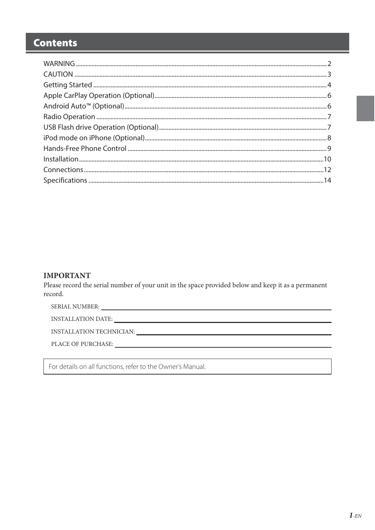### **Contents**

### **IMPORTANT**

Please record the serial number of your unit in the space provided below and keep it as a permanent record.

INSTALLATION TECHNICIAN: UNITAL ACCORDINATION

PLACE OF PURCHASE:

For details on all functions, refer to the Owner's Manual.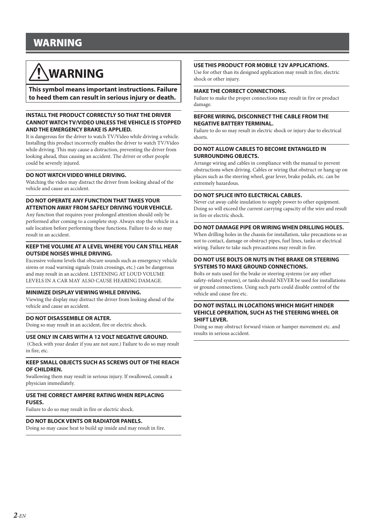### **WARNING**

## **WARNING**

**This symbol means important instructions. Failure to heed them can result in serious injury or death.**

#### **INSTALL THE PRODUCT CORRECTLY SO THAT THE DRIVER CANNOT WATCH TV/VIDEO UNLESS THE VEHICLE IS STOPPED AND THE EMERGENCY BRAKE IS APPLIED.**

It is dangerous for the driver to watch TV/Video while driving a vehicle. Installing this product incorrectly enables the driver to watch TV/Video while driving. This may cause a distraction, preventing the driver from looking ahead, thus causing an accident. The driver or other people could be severely injured.

#### **DO NOT WATCH VIDEO WHILE DRIVING.**

Watching the video may distract the driver from looking ahead of the vehicle and cause an accident.

#### **DO NOT OPERATE ANY FUNCTION THAT TAKES YOUR ATTENTION AWAY FROM SAFELY DRIVING YOUR VEHICLE.**

Any function that requires your prolonged attention should only be performed after coming to a complete stop. Always stop the vehicle in a safe location before performing these functions. Failure to do so may result in an accident.

#### **KEEP THE VOLUME AT A LEVEL WHERE YOU CAN STILL HEAR OUTSIDE NOISES WHILE DRIVING.**

Excessive volume levels that obscure sounds such as emergency vehicle sirens or road warning signals (train crossings, etc.) can be dangerous and may result in an accident. LISTENING AT LOUD VOLUME LEVELS IN A CAR MAY ALSO CAUSE HEARING DAMAGE.

### **MINIMIZE DISPLAY VIEWING WHILE DRIVING.**

Viewing the display may distract the driver from looking ahead of the vehicle and cause an accident.

#### **DO NOT DISASSEMBLE OR ALTER.**

Doing so may result in an accident, fire or electric shock.

#### **USE ONLY IN CARS WITH A 12 VOLT NEGATIVE GROUND.**

 (Check with your dealer if you are not sure.) Failure to do so may result in fire, etc.

#### **KEEP SMALL OBJECTS SUCH AS SCREWS OUT OF THE REACH OF CHILDREN.**

Swallowing them may result in serious injury. If swallowed, consult a physician immediately.

### **USE THE CORRECT AMPERE RATING WHEN REPLACING**

**FUSES.**

Failure to do so may result in fire or electric shock.

#### **DO NOT BLOCK VENTS OR RADIATOR PANELS.**

Doing so may cause heat to build up inside and may result in fire.

#### **USE THIS PRODUCT FOR MOBILE 12V APPLICATIONS.**

Use for other than its designed application may result in fire, electric shock or other injury.

#### **MAKE THE CORRECT CONNECTIONS.**

Failure to make the proper connections may result in fire or product damage.

#### **BEFORE WIRING, DISCONNECT THE CABLE FROM THE NEGATIVE BATTERY TERMINAL.**

Failure to do so may result in electric shock or injury due to electrical shorts.

#### **DO NOT ALLOW CABLES TO BECOME ENTANGLED IN SURROUNDING OBJECTS.**

Arrange wiring and cables in compliance with the manual to prevent obstructions when driving. Cables or wiring that obstruct or hang up on places such as the steering wheel, gear lever, brake pedals, etc. can be extremely hazardous.

#### **DO NOT SPLICE INTO ELECTRICAL CABLES.**

Never cut away cable insulation to supply power to other equipment. Doing so will exceed the current carrying capacity of the wire and result in fire or electric shock.

#### **DO NOT DAMAGE PIPE OR WIRING WHEN DRILLING HOLES.**

When drilling holes in the chassis for installation, take precautions so as not to contact, damage or obstruct pipes, fuel lines, tanks or electrical wiring. Failure to take such precautions may result in fire.

#### **DO NOT USE BOLTS OR NUTS IN THE BRAKE OR STEERING SYSTEMS TO MAKE GROUND CONNECTIONS.**

Bolts or nuts used for the brake or steering systems (or any other safety-related system), or tanks should NEVER be used for installations or ground connections. Using such parts could disable control of the vehicle and cause fire etc.

#### **DO NOT INSTALL IN LOCATIONS WHICH MIGHT HINDER VEHICLE OPERATION, SUCH AS THE STEERING WHEEL OR SHIFT LEVER.**

Doing so may obstruct forward vision or hamper movement etc. and results in serious accident.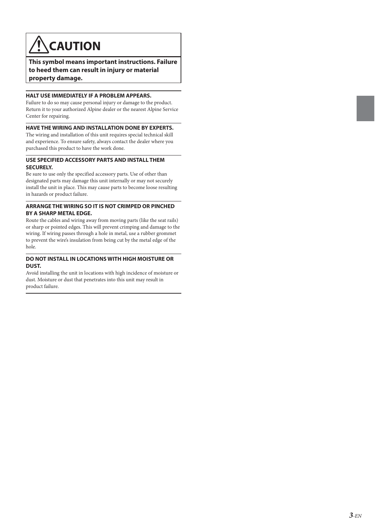## **CAUTION**

**This symbol means important instructions. Failure to heed them can result in injury or material property damage.**

#### **HALT USE IMMEDIATELY IF A PROBLEM APPEARS.**

Failure to do so may cause personal injury or damage to the product. Return it to your authorized Alpine dealer or the nearest Alpine Service Center for repairing.

#### **HAVE THE WIRING AND INSTALLATION DONE BY EXPERTS.**

The wiring and installation of this unit requires special technical skill and experience. To ensure safety, always contact the dealer where you purchased this product to have the work done.

#### **USE SPECIFIED ACCESSORY PARTS AND INSTALL THEM SECURELY.**

Be sure to use only the specified accessory parts. Use of other than designated parts may damage this unit internally or may not securely install the unit in place. This may cause parts to become loose resulting in hazards or product failure.

#### **ARRANGE THE WIRING SO IT IS NOT CRIMPED OR PINCHED BY A SHARP METAL EDGE.**

Route the cables and wiring away from moving parts (like the seat rails) or sharp or pointed edges. This will prevent crimping and damage to the wiring. If wiring passes through a hole in metal, use a rubber grommet to prevent the wire's insulation from being cut by the metal edge of the hole.

### **DO NOT INSTALL IN LOCATIONS WITH HIGH MOISTURE OR DUST.**

Avoid installing the unit in locations with high incidence of moisture or dust. Moisture or dust that penetrates into this unit may result in product failure.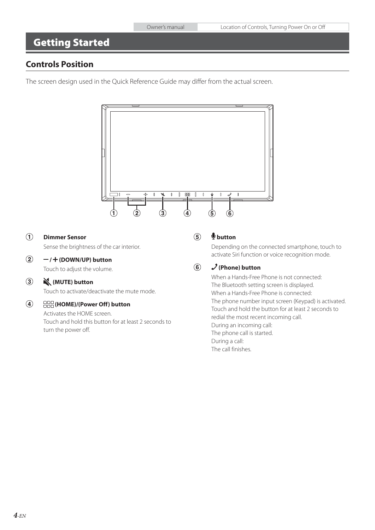### **Getting Started**

### **Controls Position**

The screen design used in the Quick Reference Guide may differ from the actual screen.



### **Dimmer Sensor**

Sense the brightness of the car interior.

#### $(2)$  **/ (DOWN/UP) button**

Touch to adjust the volume.

#### $\circled{3}$  **(MUTE) button**

Touch to activate/deactivate the mute mode.

#### $\circled{4}$  **(HOME)/(Power Off) button**

Activates the HOME screen. Touch and hold this button for at least 2 seconds to turn the power off.

#### $\circled{5}$  **button**

Depending on the connected smartphone, touch to activate Siri function or voice recognition mode.

#### $\circled{6}$  **(Phone) button**

When a Hands-Free Phone is not connected: The Bluetooth setting screen is displayed. When a Hands-Free Phone is connected: The phone number input screen (Keypad) is activated. Touch and hold the button for at least 2 seconds to redial the most recent incoming call. During an incoming call: The phone call is started. During a call: The call finishes.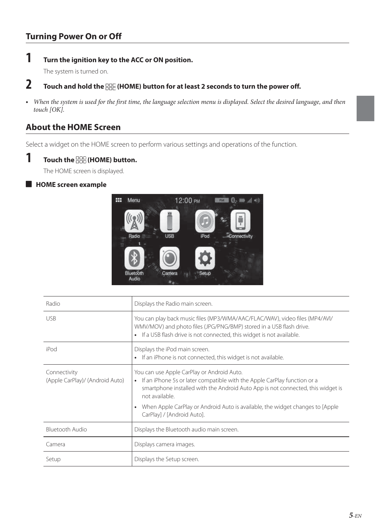### **Turning Power On or Off**

**1 Turn the ignition key to the ACC or ON position.**

The system is turned on.

### **2 Touch and hold the (HOME) button for at least 2 seconds to turn the power off.**

**•** When the system is used for the first time, the language selection menu is displayed. Select the desired language, and then touch [OK].

### **About the HOME Screen**

Select a widget on the HOME screen to perform various settings and operations of the function.



### **1 Touch the (HOME) button.**

The HOME screen is displayed.

### **HOME screen example**



| Radio                                           | Displays the Radio main screen.                                                                                                                                                                                               |
|-------------------------------------------------|-------------------------------------------------------------------------------------------------------------------------------------------------------------------------------------------------------------------------------|
| <b>USB</b>                                      | You can play back music files (MP3/WMA/AAC/FLAC/WAV), video files (MP4/AVI/<br>WMV/MOV) and photo files (JPG/PNG/BMP) stored in a USB flash drive.<br>If a USB flash drive is not connected, this widget is not available.    |
| iPod                                            | Displays the iPod main screen.<br>If an iPhone is not connected, this widget is not available.                                                                                                                                |
| Connectivity<br>(Apple CarPlay)/ (Android Auto) | You can use Apple CarPlay or Android Auto.<br>• If an iPhone 5s or later compatible with the Apple CarPlay function or a<br>smartphone installed with the Android Auto App is not connected, this widget is<br>not available. |
|                                                 | When Apple CarPlay or Android Auto is available, the widget changes to [Apple<br>$\bullet$<br>CarPlay] / [Android Auto].                                                                                                      |
| <b>Bluetooth Audio</b>                          | Displays the Bluetooth audio main screen.                                                                                                                                                                                     |
| Camera                                          | Displays camera images.                                                                                                                                                                                                       |
| Setup                                           | Displays the Setup screen.                                                                                                                                                                                                    |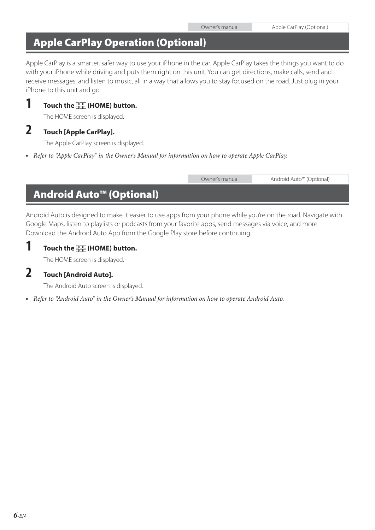### Owner's manual Apple CarPlay (Optional)

### **Apple CarPlay Operation (Optional)**

Apple CarPlay is a smarter, safer way to use your iPhone in the car. Apple CarPlay takes the things you want to do with your iPhone while driving and puts them right on this unit. You can get directions, make calls, send and receive messages, and listen to music, all in a way that allows you to stay focused on the road. Just plug in your iPhone to this unit and go.

### **1 Touch the (HOME) button.**

The HOME screen is displayed.

### **2 Touch [Apple CarPlay].**

The Apple CarPlay screen is displayed.

**•** Refer to "Apple CarPlay" in the Owner's Manual for information on how to operate Apple CarPlay.

Owner's manual Android Auto™ (Optional) **Android Auto™ (Optional)**

Android Auto is designed to make it easier to use apps from your phone while you're on the road. Navigate with Google Maps, listen to playlists or podcasts from your favorite apps, send messages via voice, and more. Download the Android Auto App from the Google Play store before continuing.

| 1 | Touch the <b>HOME</b> ) button. |  |
|---|---------------------------------|--|
|   |                                 |  |

The HOME screen is displayed.

### **2 Touch [Android Auto].**

The Android Auto screen is displayed.

**•** Refer to "Android Auto" in the Owner's Manual for information on how to operate Android Auto.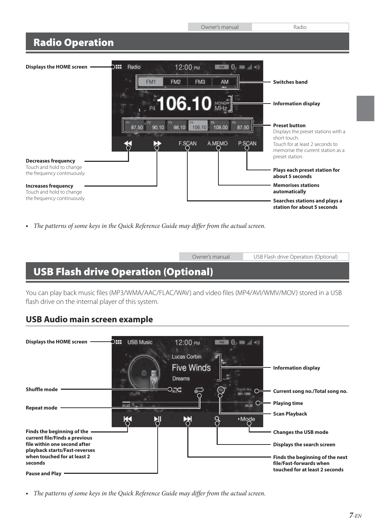Owner's manual Radio

### **Radio Operation**



**•** The patterns of some keys in the Quick Reference Guide may differ from the actual screen.

Owner's manual USB Flash drive Operation (Optional)

### **USB Flash drive Operation (Optional)**

You can play back music files (MP3/WMA/AAC/FLAC/WAV) and video files (MP4/AVI/WMV/MOV) stored in a USB flash drive on the internal player of this system.

### **USB Audio main screen example**



**•** The patterns of some keys in the Quick Reference Guide may differ from the actual screen.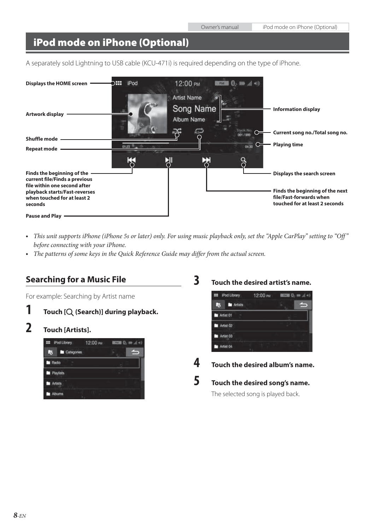### **iPod mode on iPhone (Optional)**

A separately sold Lightning to USB cable (KCU-471i) is required depending on the type of iPhone.



- This unit supports iPhone (iPhone 5s or later) only. For using music playback only, set the "Apple CarPlay" setting to "Off" before connecting with your iPhone.
- The patterns of some keys in the Quick Reference Guide may differ from the actual screen.

### **Searching for a Music File**

For example: Searching by Artist name

- **1 Touch** [Q (Search)] during playback.
- **2 Touch [Artists].**

|       | : iPod Library | 12:00 PM | $T = 0.10$ |  |
|-------|----------------|----------|------------|--|
| 5     | Categories     |          |            |  |
| Radio |                |          |            |  |
|       | Playtists      |          |            |  |
|       | Artists        |          |            |  |
|       | Albums         |          |            |  |

**3 Touch the desired artist's name.**



**4 Touch the desired album's name.**

**5 Touch the desired song's name.**

The selected song is played back.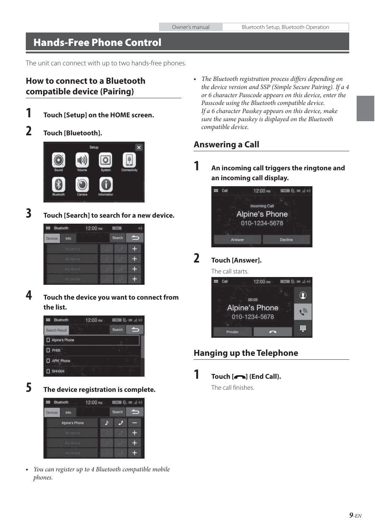### **Hands-Free Phone Control**

The unit can connect with up to two hands-free phones.

### **How to connect to a Bluetooth compatible device (Pairing)**

- 
- **1 Touch [Setup] on the HOME screen.**
- **2 Touch [Bluetooth].**



**3 Touch [Search] to search for a new device.**



**4 Touch the device you want to connect from the list.**



**5 The device registration is complete.**



**•** You can register up to 4 Bluetooth compatible mobile phones.

**•** The Bluetooth registration process differs depending on the device version and SSP (Simple Secure Pairing). If a 4 or 6 character Passcode appears on this device, enter the Passcode using the Bluetooth compatible device. If a 6 character Passkey appears on this device, make sure the same passkey is displayed on the Bluetooth compatible device.

### **Answering a Call**

**1 An incoming call triggers the ringtone and an incoming call display.**



### **2 Touch [Answer].**

The call starts.



### **Hanging up the Telephone**

 $\overline{\mathbf{1}}$  **Touch**  $\left[\begin{array}{c} \bullet \\ \bullet \end{array}\right]$  (End Call).

The call finishes.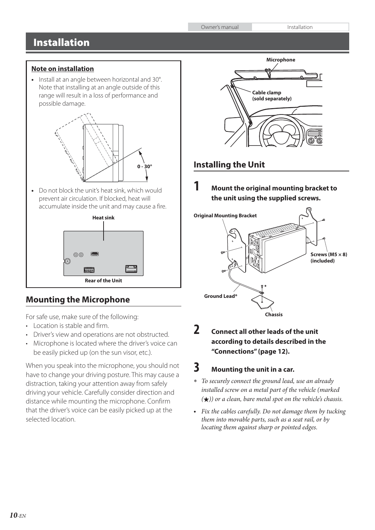Owner's manual Installation

### **Installation**

### **Note on installation**

**•** Install at an angle between horizontal and 30°. Note that installing at an angle outside of this range will result in a loss of performance and possible damage.



**•** Do not block the unit's heat sink, which would prevent air circulation. If blocked, heat will accumulate inside the unit and may cause a fire.



### **Mounting the Microphone**

For safe use, make sure of the following:

- Location is stable and firm.
- Driver's view and operations are not obstructed.
- Microphone is located where the driver's voice can be easily picked up (on the sun visor, etc.).

When you speak into the microphone, you should not have to change your driving posture. This may cause a distraction, taking your attention away from safely driving your vehicle. Carefully consider direction and distance while mounting the microphone. Confirm that the driver's voice can be easily picked up at the selected location.



### **Installing the Unit**

**1 Mount the original mounting bracket to the unit using the supplied screws.**



### **2 Connect all other leads of the unit according to details described in the "Connections" (page 12).**

### **3 Mounting the unit in a car.**

- To securely connect the ground lead, use an already installed screw on a metal part of the vehicle (marked  $(\star)$ ) or a clean, bare metal spot on the vehicle's chassis.
- Fix the cables carefully. Do not damage them by tucking them into movable parts, such as a seat rail, or by locating them against sharp or pointed edges.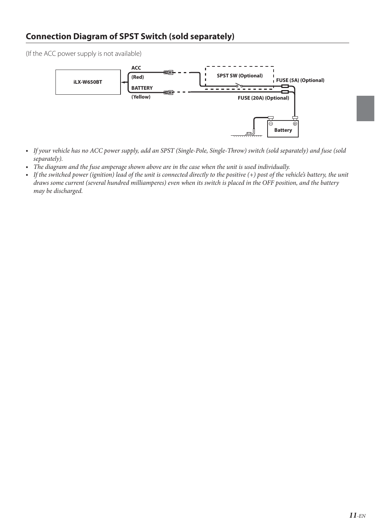### **Connection Diagram of SPST Switch (sold separately)**

(If the ACC power supply is not available)



- If your vehicle has no ACC power supply, add an SPST (Single-Pole, Single-Throw) switch (sold separately) and fuse (sold separately).
- The diagram and the fuse amperage shown above are in the case when the unit is used individually.
- If the switched power (ignition) lead of the unit is connected directly to the positive (+) post of the vehicle's battery, the unit draws some current (several hundred milliamperes) even when its switch is placed in the OFF position, and the battery may be discharged.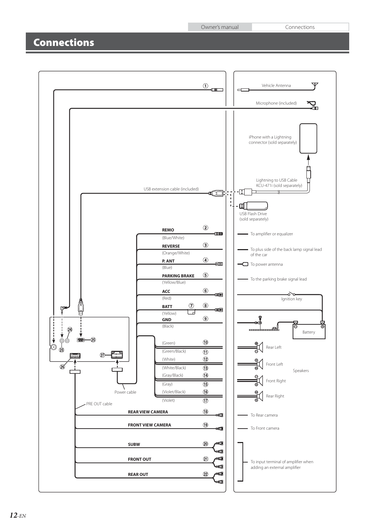Owner's manual Connections

### **Connections**

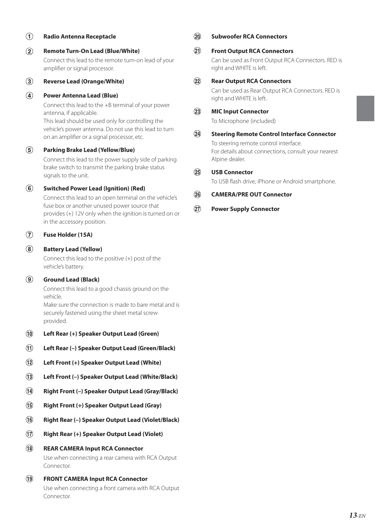### **Radio Antenna Receptacle**

 **Remote Turn-On Lead (Blue/White)** Connect this lead to the remote turn-on lead of your amplifier or signal processor.

 **Reverse Lead (Orange/White)**

### **Power Antenna Lead (Blue)**

Connect this lead to the +B terminal of your power antenna, if applicable.

This lead should be used only for controlling the vehicle's power antenna. Do not use this lead to turn on an amplifier or a signal processor, etc.

### **Parking Brake Lead (Yellow/Blue)**

Connect this lead to the power supply side of parking brake switch to transmit the parking brake status signals to the unit.

### **Switched Power Lead (Ignition) (Red)**

Connect this lead to an open terminal on the vehicle's fuse box or another unused power source that provides (+) 12V only when the ignition is turned on or in the accessory position.

### **Fuse Holder (15A)**

### **Battery Lead (Yellow)**

Connect this lead to the positive (+) post of the vehicle's battery.

### **Ground Lead (Black)**

Connect this lead to a good chassis ground on the vehicle.

Make sure the connection is made to bare metal and is securely fastened using the sheet metal screw provided.

- **Left Rear (+) Speaker Output Lead (Green)**
- **Left Rear (–) Speaker Output Lead (Green/Black)**
- **Left Front (+) Speaker Output Lead (White)**
- **Left Front (–) Speaker Output Lead (White/Black)**
- **Right Front (–) Speaker Output Lead (Gray/Black)**
- **Right Front (+) Speaker Output Lead (Gray)**
- **Right Rear (–) Speaker Output Lead (Violet/Black)**
- **Right Rear (+) Speaker Output Lead (Violet)**
- **REAR CAMERA Input RCA Connector** Use when connecting a rear camera with RCA Output Connector.
- **FRONT CAMERA Input RCA Connector** Use when connecting a front camera with RCA Output Connector.

### **Subwoofer RCA Connectors**

### **Front Output RCA Connectors**

Can be used as Front Output RCA Connectors. RED is right and WHITE is left.

### **Rear Output RCA Connectors**

Can be used as Rear Output RCA Connectors. RED is right and WHITE is left.

### **MIC Input Connector**

To Microphone (included)

### **Steering Remote Control Interface Connector** To steering remote control interface. For details about connections, consult your nearest Alpine dealer.

### **USB Connector**

To USB flash drive, iPhone or Android smartphone.

### **CAMERA/PRE OUT Connector**

### **Power Supply Connector**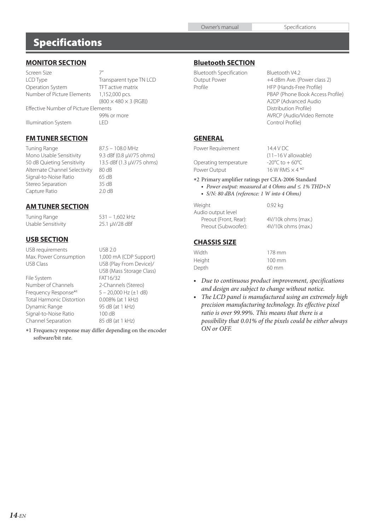### **Specifications**

### **MONITOR SECTION**

Screen Size 7" LCD Type Transparent type TN LCD Operation System TFT active matrix Number of Picture Elements 1,152,000 pcs.  $(800 \times 480 \times 3 \text{ (RGB)})$ Effective Number of Picture Elements 99% or more Illumination System

### **FM TUNER SECTION**

Tuning Range 87.5 – 108.0 MHz Mono Usable Sensitivity 9.3 dBf (0.8 μV/75 ohms) 50 dB Quieting Sensitivity 13.5 dBf (1.3 μV/75 ohms) Alternate Channel Selectivity 80 dB Signal-to-Noise Ratio 65 dB<br>Stereo Separation 65 dB Stereo Separation Capture Ratio 2.0 dB

### **AM TUNER SECTION**

Tuning Range 531 – 1,602 kHz Usable Sensitivity 25.1 μV/28 dBf

### **USB SECTION**

USB requirements USB 2.0<br>
Max. Power Consumption 1,000 mA (CDP Support) Max. Power Consumption<br>USB Class

File System FAT16/32 Number of Channels 2-Channels (Stereo) Frequency Response\*<sup>1</sup> Total Harmonic Distortion 0.008% (at 1 kHz)<br>Dynamic Range 195 dB (at 1 kHz) Dynamic Range Signal-to-Noise Ratio 100 dB<br>Channel Separation 85 dB (at 1 kHz) Channel Separation

USB (Play From Device)/ USB (Mass Storage Class) 5 – 20,000 Hz (±1 dB)

 1 Frequency response may differ depending on the encoder software/bit rate.

### **Bluetooth SECTION**

| <b>Bluetooth Specification</b> |
|--------------------------------|
| Output Power                   |
| Profile                        |

Bluetooth V4.2 +4 dBm Ave. (Power class 2) HFP (Hands-Free Profile) PBAP (Phone Book Access Profile) A2DP (Advanced Audio Distribution Profile) AVRCP (Audio/Video Remote Control Profile)

(11–16 V allowable)

#### **GENERAL**

Power Requirement 14.4 V DC

Operating temperature  $-20^{\circ}$ C to  $+60^{\circ}$ C Power Output  $16$  W RMS  $\times$  4  $*$ <sup>2</sup>

2 Primary amplifier ratings per CEA-2006 Standard

- Power output: measured at 4 Ohms and ≤ 1% THD+N
- S/N: 80 dBA (reference: 1 W into 4 Ohms)

| Weight                | $0.92$ kg          |
|-----------------------|--------------------|
| Audio output level    |                    |
| Preout (Front, Rear): | 4V/10k ohms (max.) |
| Preout (Subwoofer):   | 4V/10k ohms (max.) |

### **CHASSIS SIZE**

| Width  | 178 mm           |
|--------|------------------|
| Height | $100 \text{ mm}$ |
| Depth  | 60 mm            |

- Due to continuous product improvement, specifications and design are subject to change without notice.
- The LCD panel is manufactured using an extremely high precision manufacturing technology. Its effective pixel ratio is over 99.99%. This means that there is a possibility that 0.01% of the pixels could be either always ON or OFF.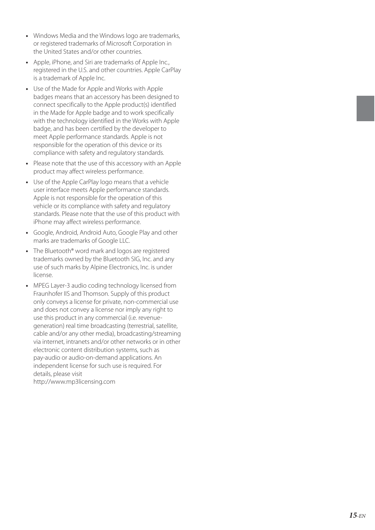- Windows Media and the Windows logo are trademarks, or registered trademarks of Microsoft Corporation in the United States and/or other countries.
- Apple, iPhone, and Siri are trademarks of Apple Inc., registered in the U.S. and other countries. Apple CarPlay is a trademark of Apple Inc.
- Use of the Made for Apple and Works with Apple badges means that an accessory has been designed to connect specifically to the Apple product(s) identified in the Made for Apple badge and to work specifically with the technology identified in the Works with Apple badge, and has been certified by the developer to meet Apple performance standards. Apple is not responsible for the operation of this device or its compliance with safety and regulatory standards.
- Please note that the use of this accessory with an Apple product may affect wireless performance.
- Use of the Apple CarPlay logo means that a vehicle user interface meets Apple performance standards. Apple is not responsible for the operation of this vehicle or its compliance with safety and regulatory standards. Please note that the use of this product with iPhone may affect wireless performance.
- Google, Android, Android Auto, Google Play and other marks are trademarks of Google LLC.
- The Bluetooth® word mark and logos are registered trademarks owned by the Bluetooth SIG, Inc. and any use of such marks by Alpine Electronics, Inc. is under license.
- MPEG Layer-3 audio coding technology licensed from Fraunhofer IIS and Thomson. Supply of this product only conveys a license for private, non-commercial use and does not convey a license nor imply any right to use this product in any commercial (i.e. revenuegeneration) real time broadcasting (terrestrial, satellite, cable and/or any other media), broadcasting/streaming via internet, intranets and/or other networks or in other electronic content distribution systems, such as pay-audio or audio-on-demand applications. An independent license for such use is required. For details, please visit

http://www.mp3licensing.com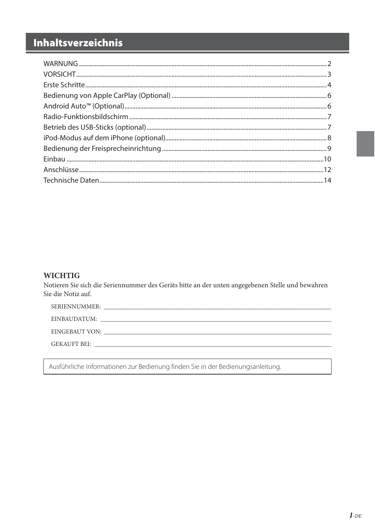### Inhaltsverzeichnis

### **WICHTIG**

Notieren Sie sich die Seriennummer des Geräts bitte an der unten angegebenen Stelle und bewahren Sie die Notiz auf.

| SERIENNUMMER:<br><u> 1980 - John Stone, Amerikaansk politiker (* 1980)</u> |
|----------------------------------------------------------------------------|
| EINBAUDATUM:                                                               |
|                                                                            |
| GEKAUFT BEI:                                                               |
|                                                                            |

Ausführliche Informationen zur Bedienung finden Sie in der Bedienungsanleitung.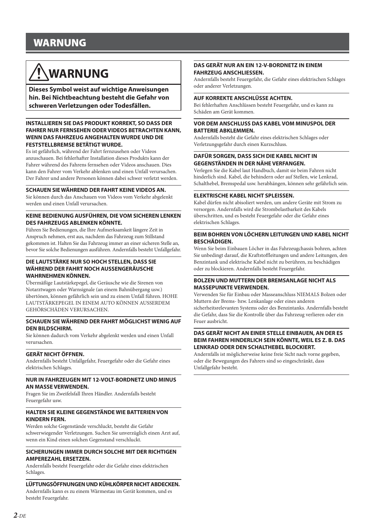### **WARNUNG**

## **WARNUNG**

**Dieses Symbol weist auf wichtige Anweisungen hin. Bei Nichtbeachtung besteht die Gefahr von schweren Verletzungen oder Todesfällen.**

#### **INSTALLIEREN SIE DAS PRODUKT KORREKT, SO DASS DER FAHRER NUR FERNSEHEN ODER VIDEOS BETRACHTEN KANN, WENN DAS FAHRZEUG ANGEHALTEN WURDE UND DIE FESTSTELLBREMSE BETÄTIGT WURDE.**

Es ist gefährlich, während der Fahrt fernzusehen oder Videos anzuschauen. Bei fehlerhafter Installation dieses Produkts kann der Fahrer während des Fahrens fernsehen oder Videos anschauen. Dies kann den Fahrer vom Verkehr ablenken und einen Unfall verursachen. Der Fahrer und andere Personen können dabei schwer verletzt werden.

#### **SCHAUEN SIE WÄHREND DER FAHRT KEINE VIDEOS AN.**

Sie können durch das Anschauen von Videos vom Verkehr abgelenkt werden und einen Unfall verursachen.

#### **KEINE BEDIENUNG AUSFÜHREN, DIE VOM SICHEREN LENKEN DES FAHRZEUGS ABLENKEN KÖNNTE.**

Führen Sie Bedienungen, die Ihre Aufmerksamkeit längere Zeit in Anspruch nehmen, erst aus, nachdem das Fahrzeug zum Stillstand gekommen ist. Halten Sie das Fahrzeug immer an einer sicheren Stelle an, bevor Sie solche Bedienungen ausführen. Andernfalls besteht Unfallgefahr.

#### **DIE LAUTSTÄRKE NUR SO HOCH STELLEN, DASS SIE WÄHREND DER FAHRT NOCH AUSSENGERÄUSCHE WAHRNEHMEN KÖNNEN.**

Übermäßige Lautstärkepegel, die Geräusche wie die Sirenen von Notarztwagen oder Warnsignale (an einem Bahnübergang usw.) übertönen, können gefährlich sein und zu einem Unfall führen. HOHE LAUTSTÄRKEPEGEL IN EINEM AUTO KÖNNEN AUSSERDEM GEHÖRSCHÄDEN VERURSACHEN.

#### **SCHAUEN SIE WÄHREND DER FAHRT MÖGLICHST WENIG AUF DEN BILDSCHIRM.**

Sie können dadurch vom Verkehr abgelenkt werden und einen Unfall verursachen.

#### **GERÄT NICHT ÖFFNEN.**

Andernfalls besteht Unfallgefahr, Feuergefahr oder die Gefahr eines elektrischen Schlages.

#### **NUR IN FAHRZEUGEN MIT 12-VOLT-BORDNETZ UND MINUS AN MASSE VERWENDEN.**

Fragen Sie im Zweifelsfall Ihren Händler. Andernfalls besteht Feuergefahr usw.

#### **HALTEN SIE KLEINE GEGENSTÄNDE WIE BATTERIEN VON KINDERN FERN.**

Werden solche Gegenstände verschluckt, besteht die Gefahr schwerwiegender Verletzungen. Suchen Sie unverzüglich einen Arzt auf, wenn ein Kind einen solchen Gegenstand verschluckt.

#### **SICHERUNGEN IMMER DURCH SOLCHE MIT DER RICHTIGEN AMPEREZAHL ERSETZEN.**

Andernfalls besteht Feuergefahr oder die Gefahr eines elektrischen Schlages.

#### **LÜFTUNGSÖFFNUNGEN UND KÜHLKÖRPER NICHT ABDECKEN.**

Andernfalls kann es zu einem Wärmestau im Gerät kommen, und es besteht Feuergefahr.

#### **DAS GERÄT NUR AN EIN 12-V-BORDNETZ IN EINEM FAHRZEUG ANSCHLIESSEN.**

Andernfalls besteht Feuergefahr, die Gefahr eines elektrischen Schlages oder anderer Verletzungen.

#### **AUF KORREKTE ANSCHLÜSSE ACHTEN.**

Bei fehlerhaften Anschlüssen besteht Feuergefahr, und es kann zu Schäden am Gerät kommen.

#### **VOR DEM ANSCHLUSS DAS KABEL VOM MINUSPOL DER BATTERIE ABKLEMMEN.**

Andernfalls besteht die Gefahr eines elektrischen Schlages oder Verletzungsgefahr durch einen Kurzschluss.

#### **DAFÜR SORGEN, DASS SICH DIE KABEL NICHT IN GEGENSTÄNDEN IN DER NÄHE VERFANGEN.**

Verlegen Sie die Kabel laut Handbuch, damit sie beim Fahren nicht hinderlich sind. Kabel, die behindern oder auf Stellen, wie Lenkrad, Schalthebel, Bremspedal usw. herabhängen, können sehr gefährlich sein.

#### **ELEKTRISCHE KABEL NICHT SPLEISSEN.**

Kabel dürfen nicht abisoliert werden, um andere Geräte mit Strom zu versorgen. Andernfalls wird die Strombelastbarkeit des Kabels überschritten, und es besteht Feuergefahr oder die Gefahr eines elektrischen Schlages.

#### **BEIM BOHREN VON LÖCHERN LEITUNGEN UND KABEL NICHT BESCHÄDIGEN.**

Wenn Sie beim Einbauen Löcher in das Fahrzeugchassis bohren, achten Sie unbedingt darauf, die Kraftstoffleitungen und andere Leitungen, den Benzintank und elektrische Kabel nicht zu berühren, zu beschädigen oder zu blockieren. Andernfalls besteht Feuergefahr.

#### **BOLZEN UND MUTTERN DER BREMSANLAGE NICHT ALS MASSEPUNKTE VERWENDEN.**

Verwenden Sie für Einbau oder Masseanschluss NIEMALS Bolzen oder Muttern der Brems- bzw. Lenkanlage oder eines anderen sicherheitsrelevanten Systems oder des Benzintanks. Andernfalls besteht die Gefahr, dass Sie die Kontrolle über das Fahrzeug verlieren oder ein Feuer ausbricht.

#### **DAS GERÄT NICHT AN EINER STELLE EINBAUEN, AN DER ES BEIM FAHREN HINDERLICH SEIN KÖNNTE, WEIL ES Z. B. DAS LENKRAD ODER DEN SCHALTHEBEL BLOCKIERT.**

Andernfalls ist möglicherweise keine freie Sicht nach vorne gegeben, oder die Bewegungen des Fahrers sind so eingeschränkt, dass Unfallgefahr besteht.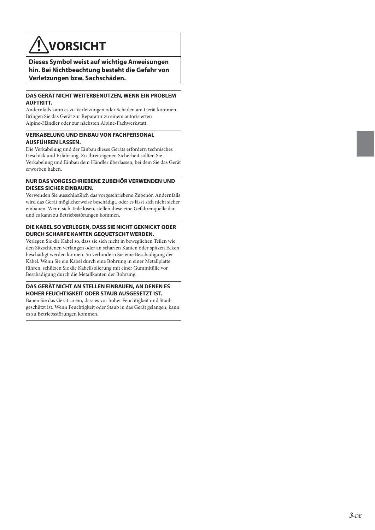## **VORSICHT**

**Dieses Symbol weist auf wichtige Anweisungen hin. Bei Nichtbeachtung besteht die Gefahr von Verletzungen bzw. Sachschäden.**

#### **DAS GERÄT NICHT WEITERBENUTZEN, WENN EIN PROBLEM AUFTRITT.**

Andernfalls kann es zu Verletzungen oder Schäden am Gerät kommen. Bringen Sie das Gerät zur Reparatur zu einem autorisierten Alpine-Händler oder zur nächsten Alpine-Fachwerkstatt.

#### **VERKABELUNG UND EINBAU VON FACHPERSONAL AUSFÜHREN LASSEN.**

Die Verkabelung und der Einbau dieses Geräts erfordern technisches Geschick und Erfahrung. Zu Ihrer eigenen Sicherheit sollten Sie Verkabelung und Einbau dem Händler überlassen, bei dem Sie das Gerät erworben haben.

#### **NUR DAS VORGESCHRIEBENE ZUBEHÖR VERWENDEN UND DIESES SICHER EINBAUEN.**

Verwenden Sie ausschließlich das vorgeschriebene Zubehör. Andernfalls wird das Gerät möglicherweise beschädigt, oder es lässt sich nicht sicher einbauen. Wenn sich Teile lösen, stellen diese eine Gefahrenquelle dar, und es kann zu Betriebsstörungen kommen.

#### **DIE KABEL SO VERLEGEN, DASS SIE NICHT GEKNICKT ODER DURCH SCHARFE KANTEN GEQUETSCHT WERDEN.**

Verlegen Sie die Kabel so, dass sie sich nicht in beweglichen Teilen wie den Sitzschienen verfangen oder an scharfen Kanten oder spitzen Ecken beschädigt werden können. So verhindern Sie eine Beschädigung der Kabel. Wenn Sie ein Kabel durch eine Bohrung in einer Metallplatte führen, schützen Sie die Kabelisolierung mit einer Gummitülle vor Beschädigung durch die Metallkanten der Bohrung.

#### **DAS GERÄT NICHT AN STELLEN EINBAUEN, AN DENEN ES HOHER FEUCHTIGKEIT ODER STAUB AUSGESETZT IST.**

Bauen Sie das Gerät so ein, dass es vor hoher Feuchtigkeit und Staub geschützt ist. Wenn Feuchtigkeit oder Staub in das Gerät gelangen, kann es zu Betriebsstörungen kommen.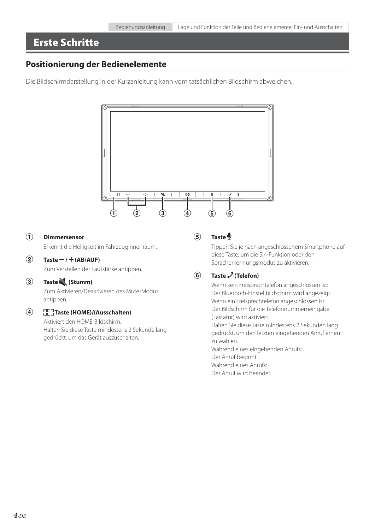### **Erste Schritte**

### **Positionierung der Bedienelemente**

Die Bildschirmdarstellung in der Kurzanleitung kann vom tatsächlichen Bildschirm abweichen.



### **Dimmersensor**

Erkennt die Helligkeit im Fahrzeuginnenraum.

### $\overline{2}$  Taste  $-$  /  $+$  (AB/AUF)

Zum Verstellen der Lautstärke antippen.

### **Taste (Stumm)**

Zum Aktivieren/Deaktivieren des Mute-Modus antippen.

#### $\circled{4}$  **Taste (HOME)/(Ausschalten)**

Aktiviert den HOME-Bildschirm. Halten Sie diese Taste mindestens 2 Sekunde lang gedrückt, um das Gerät auszuschalten.

### **Taste**

Tippen Sie je nach angeschlossenem Smartphone auf diese Taste, um die Siri-Funktion oder den Spracherkennungsmodus zu aktivieren.

### **6** Taste  $\boldsymbol{\mathcal{J}}$  (Telefon)

Wenn kein Freisprechtelefon angeschlossen ist: Der Bluetooth-Einstellbildschirm wird angezeigt. Wenn ein Freisprechtelefon angeschlossen ist: Der Bildschirm für die Telefonnummerneingabe (Tastatur) wird aktiviert.

Halten Sie diese Taste mindestens 2 Sekunden lang gedrückt, um den letzten eingehenden Anruf erneut zu wählen.

Während eines eingehenden Anrufs: Der Anruf beginnt. Während eines Anrufs: Der Anruf wird beendet.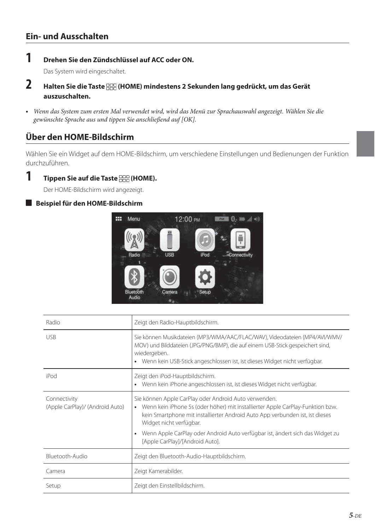### **Ein- und Ausschalten**

### **1 Drehen Sie den Zündschlüssel auf ACC oder ON.**

Das System wird eingeschaltet.

- **2 Halten Sie die Taste (HOME) mindestens 2 Sekunden lang gedrückt, um das Gerät auszuschalten.**
- Wenn das System zum ersten Mal verwendet wird, wird das Menü zur Sprachauswahl angezeigt. Wählen Sie die gewünschte Sprache aus und tippen Sie anschließend auf [OK].

### **Über den HOME-Bildschirm**

Wählen Sie ein Widget auf dem HOME-Bildschirm, um verschiedene Einstellungen und Bedienungen der Funktion durchzuführen.

 $1$  **Tippen Sie auf die Taste**  $\frac{\text{ODE}}{\text{ODE}}$  **(HOME).** 

Der HOME-Bildschirm wird angezeigt.

### **Beispiel für den HOME-Bildschirm**



| Radio                                           | Zeigt den Radio-Hauptbildschirm.                                                                                                                                                                                                                                                                                                                                         |
|-------------------------------------------------|--------------------------------------------------------------------------------------------------------------------------------------------------------------------------------------------------------------------------------------------------------------------------------------------------------------------------------------------------------------------------|
| <b>USB</b>                                      | Sie können Musikdateien (MP3/WMA/AAC/FLAC/WAV), Videodateien (MP4/AVI/WMV/<br>MOV) und Bilddateien (JPG/PNG/BMP), die auf einem USB-Stick gespeichert sind,<br>wiedergeben.<br>Wenn kein USB-Stick angeschlossen ist, ist dieses Widget nicht verfügbar.                                                                                                                 |
| iPod                                            | Zeigt den iPod-Hauptbildschirm.<br>Wenn kein iPhone angeschlossen ist, ist dieses Widget nicht verfügbar.                                                                                                                                                                                                                                                                |
| Connectivity<br>(Apple CarPlay)/ (Android Auto) | Sie können Apple CarPlay oder Android Auto verwenden.<br>• Wenn kein iPhone 5s (oder höher) mit installierter Apple CarPlay-Funktion bzw.<br>kein Smartphone mit installierter Android Auto App verbunden ist, ist dieses<br>Widget nicht verfügbar.<br>Wenn Apple CarPlay oder Android Auto verfügbar ist, ändert sich das Widget zu<br>[Apple CarPlay]/[Android Auto]. |
| Bluetooth-Audio                                 | Zeigt den Bluetooth-Audio-Hauptbildschirm.                                                                                                                                                                                                                                                                                                                               |
| Camera                                          | Zeigt Kamerabilder.                                                                                                                                                                                                                                                                                                                                                      |
| Setup                                           | Zeigt den Einstellbildschirm.                                                                                                                                                                                                                                                                                                                                            |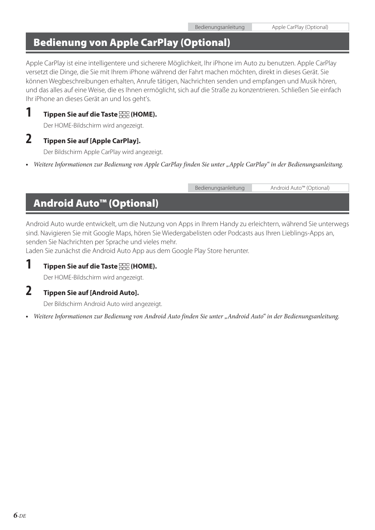### **Bedienung von Apple CarPlay (Optional)**

Apple CarPlay ist eine intelligentere und sicherere Möglichkeit, Ihr iPhone im Auto zu benutzen. Apple CarPlay versetzt die Dinge, die Sie mit Ihrem iPhone während der Fahrt machen möchten, direkt in dieses Gerät. Sie können Wegbeschreibungen erhalten, Anrufe tätigen, Nachrichten senden und empfangen und Musik hören, und das alles auf eine Weise, die es Ihnen ermöglicht, sich auf die Straße zu konzentrieren. Schließen Sie einfach Ihr iPhone an dieses Gerät an und los geht's.

### **1 Tippen Sie auf die Taste FRA (HOME).**

Der HOME-Bildschirm wird angezeigt.

### **2 Tippen Sie auf [Apple CarPlay].**

Der Bildschirm Apple CarPlay wird angezeigt.

• Weitere Informationen zur Bedienung von Apple CarPlay finden Sie unter "Apple CarPlay" in der Bedienungsanleitung.

|                                            | Bedienungsanleitung | Android Auto™ (Optional) |
|--------------------------------------------|---------------------|--------------------------|
| <b>Android Auto<sup>™</sup> (Optional)</b> |                     |                          |

Android Auto wurde entwickelt, um die Nutzung von Apps in Ihrem Handy zu erleichtern, während Sie unterwegs sind. Navigieren Sie mit Google Maps, hören Sie Wiedergabelisten oder Podcasts aus Ihren Lieblings-Apps an, senden Sie Nachrichten per Sprache und vieles mehr.

Laden Sie zunächst die Android Auto App aus dem Google Play Store herunter.

### **1 Tippen Sie auf die Taste FRA (HOME).**

Der HOME-Bildschirm wird angezeigt.

### **2 Tippen Sie auf [Android Auto].**

Der Bildschirm Android Auto wird angezeigt.

• Weitere Informationen zur Bedienung von Android Auto finden Sie unter "Android Auto" in der Bedienungsanleitung.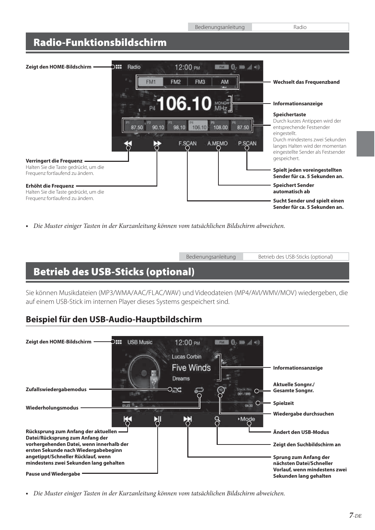### **Radio-Funktionsbildschirm**



**•** Die Muster einiger Tasten in der Kurzanleitung können vom tatsächlichen Bildschirm abweichen.

Bedienungsanleitung Betrieb des USB-Sticks (optional)

### **Betrieb des USB-Sticks (optional)**

Sie können Musikdateien (MP3/WMA/AAC/FLAC/WAV) und Videodateien (MP4/AVI/WMV/MOV) wiedergeben, die auf einem USB-Stick im internen Player dieses Systems gespeichert sind.

### **Beispiel für den USB-Audio-Hauptbildschirm**



**•** Die Muster einiger Tasten in der Kurzanleitung können vom tatsächlichen Bildschirm abweichen.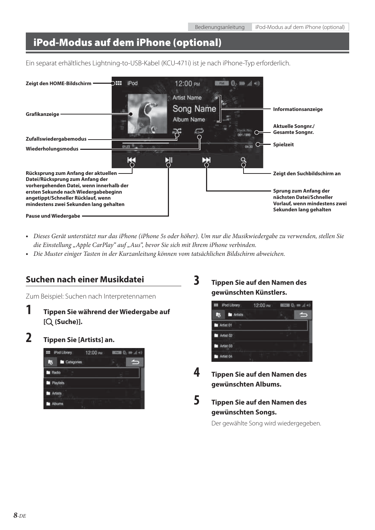### **iPod-Modus auf dem iPhone (optional)**

Ein separat erhältliches Lightning-to-USB-Kabel (KCU-471i) ist je nach iPhone-Typ erforderlich.



- Dieses Gerät unterstützt nur das iPhone (iPhone 5s oder höher). Um nur die Musikwiedergabe zu verwenden, stellen Sie die Einstellung "Apple CarPlay" auf "Aus", bevor Sie sich mit Ihrem iPhone verbinden.
- Die Muster einiger Tasten in der Kurzanleitung können vom tatsächlichen Bildschirm abweichen.

### **Suchen nach einer Musikdatei**

Zum Beispiel: Suchen nach Interpretennamen

- **1 Tippen Sie während der Wiedergabe auf [ (Suche)].**
- **2 Tippen Sie [Artists] an.**



**3 Tippen Sie auf den Namen des gewünschten Künstlers.**



- **4 Tippen Sie auf den Namen des gewünschten Albums.**
- **5 Tippen Sie auf den Namen des**

**gewünschten Songs.**

Der gewählte Song wird wiedergegeben.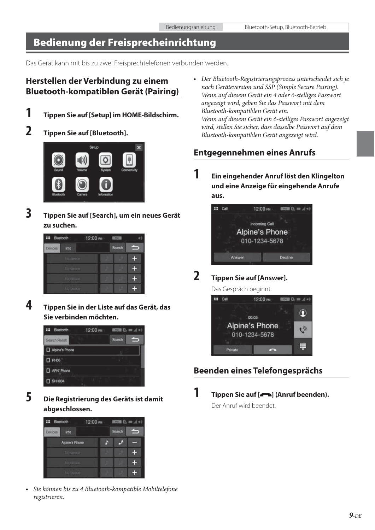### **Bedienung der Freisprecheinrichtung**

Das Gerät kann mit bis zu zwei Freisprechtelefonen verbunden werden.

### **Herstellen der Verbindung zu einem Bluetooth-kompatiblen Gerät (Pairing)**

**1 Tippen Sie auf [Setup] im HOME-Bildschirm.**

### **2 Tippen Sie auf [Bluetooth].**



**3 Tippen Sie auf [Search], um ein neues Gerät zu suchen.**



**4 Tippen Sie in der Liste auf das Gerät, das Sie verbinden möchten.**



**5 Die Registrierung des Geräts ist damit abgeschlossen.**



**•** Sie können bis zu 4 Bluetooth-kompatible Mobiltelefone registrieren.

**•** Der Bluetooth-Registrierungsprozess unterscheidet sich je nach Geräteversion und SSP (Simple Secure Pairing). Wenn auf diesem Gerät ein 4 oder 6-stelliges Passwort angezeigt wird, geben Sie das Passwort mit dem Bluetooth-kompatiblen Gerät ein. Wenn auf diesem Gerät ein 6-stelliges Passwort angezeigt wird, stellen Sie sicher, dass dasselbe Passwort auf dem Bluetooth-kompatiblen Gerät angezeigt wird.

### **Entgegennehmen eines Anrufs**

**1 Ein eingehender Anruf löst den Klingelton und eine Anzeige für eingehende Anrufe aus.**



### **2 Tippen Sie auf [Answer].**

Das Gespräch beginnt.



### **Beenden eines Telefongesprächs**

**1 Tippen Sie auf [ ] (Anruf beenden).** Der Anruf wird beendet.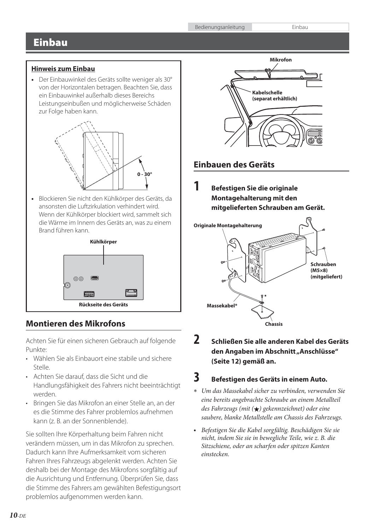### **Einbau**

### **Hinweis zum Einbau**

**•** Der Einbauwinkel des Geräts sollte weniger als 30° von der Horizontalen betragen. Beachten Sie, dass ein Einbauwinkel außerhalb dieses Bereichs Leistungseinbußen und möglicherweise Schäden zur Folge haben kann.



**•** Blockieren Sie nicht den Kühlkörper des Geräts, da ansonsten die Luftzirkulation verhindert wird. Wenn der Kühlkörper blockiert wird, sammelt sich die Wärme im Innern des Geräts an, was zu einem Brand führen kann.



### **Montieren des Mikrofons**

Achten Sie für einen sicheren Gebrauch auf folgende Punkte:

- Wählen Sie als Einbauort eine stabile und sichere Stelle.
- Achten Sie darauf, dass die Sicht und die Handlungsfähigkeit des Fahrers nicht beeinträchtigt werden.
- Bringen Sie das Mikrofon an einer Stelle an, an der es die Stimme des Fahrer problemlos aufnehmen kann (z. B. an der Sonnenblende).

Sie sollten Ihre Körperhaltung beim Fahren nicht verändern müssen, um in das Mikrofon zu sprechen. Dadurch kann Ihre Aufmerksamkeit vom sicheren Fahren Ihres Fahrzeugs abgelenkt werden. Achten Sie deshalb bei der Montage des Mikrofons sorgfältig auf die Ausrichtung und Entfernung. Überprüfen Sie, dass die Stimme des Fahrers am gewählten Befestigungsort problemlos aufgenommen werden kann.



### **Einbauen des Geräts**

**1 Befestigen Sie die originale Montagehalterung mit den mitgelieferten Schrauben am Gerät.**



**2 Schließen Sie alle anderen Kabel des Geräts**  den Angaben im Abschnitt "Anschlüsse" **(Seite 12) gemäß an.**

### **3 Befestigen des Geräts in einem Auto.**

- Um das Massekabel sicher zu verbinden, verwenden Sie eine bereits angebrachte Schraube an einem Metallteil des Fahrzeugs (mit  $\left(\bigstar\right)$  gekennzeichnet) oder eine saubere, blanke Metallstelle am Chassis des Fahrzeugs.
- Befestigen Sie die Kabel sorgfältig. Beschädigen Sie sie nicht, indem Sie sie in bewegliche Teile, wie z. B. die Sitzschiene, oder an scharfen oder spitzen Kanten einstecken.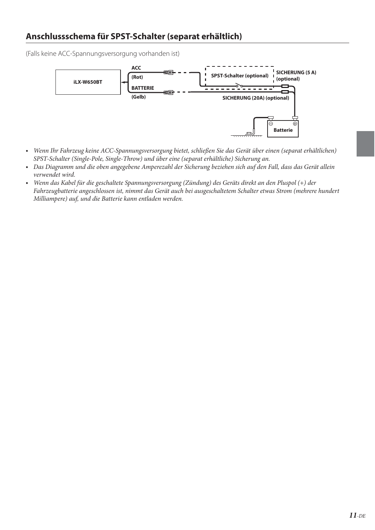### **Anschlussschema für SPST-Schalter (separat erhältlich)**

(Falls keine ACC-Spannungsversorgung vorhanden ist)



- Wenn Ihr Fahrzeug keine ACC-Spannungsversorgung bietet, schließen Sie das Gerät über einen (separat erhältlichen) SPST-Schalter (Single-Pole, Single-Throw) und über eine (separat erhältliche) Sicherung an.
- Das Diagramm und die oben angegebene Amperezahl der Sicherung beziehen sich auf den Fall, dass das Gerät allein verwendet wird.
- Wenn das Kabel für die geschaltete Spannungsversorgung (Zündung) des Geräts direkt an den Pluspol (+) der Fahrzeugbatterie angeschlossen ist, nimmt das Gerät auch bei ausgeschaltetem Schalter etwas Strom (mehrere hundert Milliampere) auf, und die Batterie kann entladen werden.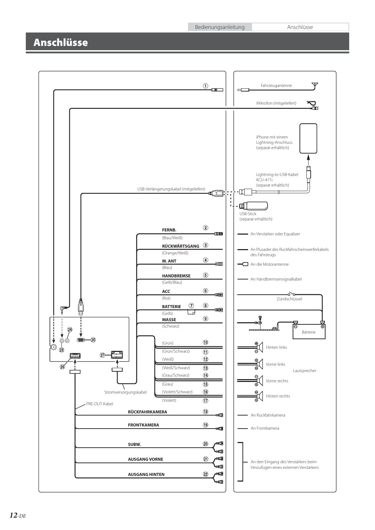Bedienungsanleitung Anschlüsse

### **Anschlüsse**

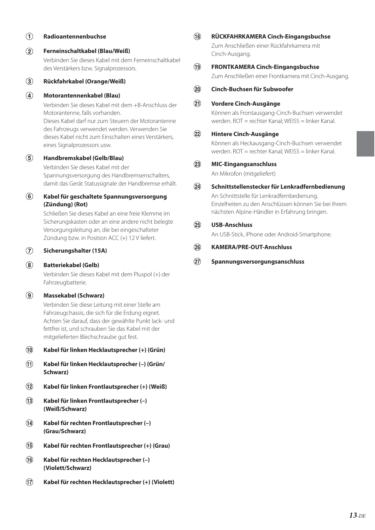### **Radioantennenbuchse**

 **Ferneinschaltkabel (Blau/Weiß)** Verbinden Sie dieses Kabel mit dem Ferneinschaltkabel des Verstärkers bzw. Signalprozessors.

### **Rückfahrkabel (Orange/Weiß)**

#### **Motorantennenkabel (Blau)**

Verbinden Sie dieses Kabel mit dem +B-Anschluss der Motorantenne, falls vorhanden.

Dieses Kabel darf nur zum Steuern der Motorantenne des Fahrzeugs verwendet werden. Verwenden Sie dieses Kabel nicht zum Einschalten eines Verstärkers, eines Signalprozessors usw.

### **Handbremskabel (Gelb/Blau)**

Verbinden Sie dieses Kabel mit der Spannungsversorgung des Handbremsenschalters, damit das Gerät Statussignale der Handbremse erhält.

### **Kabel für geschaltete Spannungsversorgung (Zündung) (Rot)**

Schließen Sie dieses Kabel an eine freie Klemme im Sicherungskasten oder an eine andere nicht belegte Versorgungsleitung an, die bei eingeschalteter Zündung bzw. in Position ACC (+) 12 V liefert.

#### **Sicherungshalter (15A)**

### **Batteriekabel (Gelb)**

Verbinden Sie dieses Kabel mit dem Pluspol (+) der Fahrzeugbatterie.

### **Massekabel (Schwarz)**

Verbinden Sie diese Leitung mit einer Stelle am Fahrzeugchassis, die sich für die Erdung eignet. Achten Sie darauf, dass der gewählte Punkt lack- und fettfrei ist, und schrauben Sie das Kabel mit der mitgelieferten Blechschraube gut fest.

### **Kabel für linken Hecklautsprecher (+) (Grün)**

- **Kabel für linken Hecklautsprecher (–) (Grün/ Schwarz)**
- **Kabel für linken Frontlautsprecher (+) (Weiß)**
- **Kabel für linken Frontlautsprecher (–) (Weiß/Schwarz)**
- **Kabel für rechten Frontlautsprecher (–) (Grau/Schwarz)**
- **Kabel für rechten Frontlautsprecher (+) (Grau)**
- **Kabel für rechten Hecklautsprecher (–) (Violett/Schwarz)**
- **Kabel für rechten Hecklautsprecher (+) (Violett)**

### **RÜCKFAHRKAMERA Cinch-Eingangsbuchse** Zum Anschließen einer Rückfahrkamera mit Cinch-Ausgang.

### **FRONTKAMERA Cinch-Eingangsbuchse**

Zum Anschließen einer Frontkamera mit Cinch-Ausgang.

### **Cinch-Buchsen für Subwoofer**

### **Vordere Cinch-Ausgänge**

Können als Frontausgang-Cinch-Buchsen verwendet werden. ROT = rechter Kanal; WEISS = linker Kanal.

### **Hintere Cinch-Ausgänge**

Können als Heckausgang-Cinch-Buchsen verwendet werden. ROT = rechter Kanal; WEISS = linker Kanal.

#### **MIC-Eingangsanschluss**

An Mikrofon (mitgeliefert)

### **Schnittstellenstecker für Lenkradfernbedienung**

An Schnittstelle für Lenkradfernbedienung. Einzelheiten zu den Anschlüssen können Sie bei Ihrem nächsten Alpine-Händler in Erfahrung bringen.

### **USB-Anschluss**

An USB-Stick, iPhone oder Android-Smartphone.

### **KAMERA/PRE-OUT-Anschluss**

### **Spannungsversorgungsanschluss**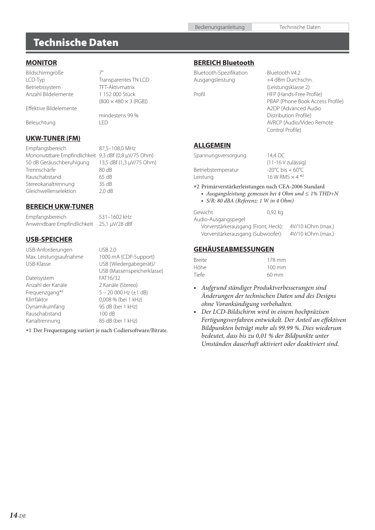### **Technische Daten**

### **MONITOR**

Bildschirmgröße 7"<br>LCD-Typ Tr. Betriebssystem TFT-Aktivmatrix Anzahl Bildelemente 1 152 000 Stück

Effektive Bildelemente

Beleuchtung

### mindestens 99 %<br>I FD

Transparentes TN LCD

 $(800 \times 480 \times 3 \text{ (RGB)})$ 

### **UKW-TUNER (FM)**

Empfangsbereich 87,5–108,0 MHz Mononutzbare Empfindlichkeit 9,3 dBf (0,8 μV/75 Ohm) 50 dB Geräuschberuhigung 13,5 dBf (1,3 μV/75 Ohm) Trennschärfe 80 dB Rauschabstand 65 dB Stereokanaltrennung 35 dB Gleichwellenselektion 2,0 dB

### **BEREICH UKW-TUNER**

Empfangsbereich 531–1602 kHz Anwendbare Empfindlichkeit 25,1 μV/28 dBf

### **USB-SPEICHER**

USB-Anforderungen USB 2.0<br>
Max. Leistungsaufnahme 1000 mA (CDP-Support) Max. Leistungsaufnahme<br>USB-Klasse

Dateisystem FAT16/32 Anzahl der Kanäle 2 Kanäle (Stereo) Frequenzgang\*<sup>1</sup> Dynamikumfang Rauschabstand 100 dB Kanaltrennung 85 dB (bei 1 kHz)

USB (Wiedergabegerät)/ USB (Massenspeicherklasse) 5 – 20 000 Hz (±1 dB) Klirrfaktor 0,008 % (bei 1 kHz)<br>Dynamikumfang 95 dB (bei 1 kHz)

1 Der Frequenzgang variiert je nach Codiersoftware/Bitrate.

#### **BEREICH Bluetooth**

| Bluetooth-Spezifikation |  |
|-------------------------|--|
| Ausgangsleistung        |  |

Bluetooth V4.2 +4 dBm Durchschn. (Leistungsklasse 2) Profil HFP (Hands-Free Profile) PBAP (Phone Book Access Profile) A2DP (Advanced Audio Distribution Profile) AVRCP (Audio/Video Remote Control Profile)

### **ALLGEMEIN**

| Spannungsversorgung | 14.4 DC                               |
|---------------------|---------------------------------------|
|                     | (11-16 V zulässig)                    |
| Betriebstemperatur  | $-20^{\circ}$ C bis + 60 $^{\circ}$ C |
| Leistung            | 16 W RMS $\times$ 4 $*$ <sup>2</sup>  |
|                     |                                       |

2 Primärverstärkerleistungen nach CEA-2006 Standard

**•** Ausgangsleistung: gemessen bei 4 Ohm und ≤ 1% THD+N **•** S/R: 80 dBA (Referenz: 1 W in 4 Ohm)

| Gewicht                             | 0,92 kg |                   |
|-------------------------------------|---------|-------------------|
| Audio-Ausgangspegel                 |         |                   |
| Vorverstärkerausgang (Front, Heck): |         | 4V/10 kOhm (max.) |
| Vorverstärkerausgang (Subwoofer):   |         | 4V/10 kOhm (max.) |

### **GEHÄUSEABMESSUNGEN**

| <b>Breite</b> | 178 mm           |
|---------------|------------------|
| Höhe          | $100 \text{ mm}$ |
| Tiefe         | $60 \text{ mm}$  |

- Aufgrund ständiger Produktverbesserungen sind Änderungen der technischen Daten und des Designs ohne Vorankündigung vorbehalten.
- Der LCD-Bildschirm wird in einem hochpräzisen Fertigungsverfahren entwickelt. Der Anteil an effektiven Bildpunkten beträgt mehr als 99.99 %. Dies wiederum bedeutet, dass bis zu 0,01 % der Bildpunkte unter Umständen dauerhaft aktiviert oder deaktiviert sind.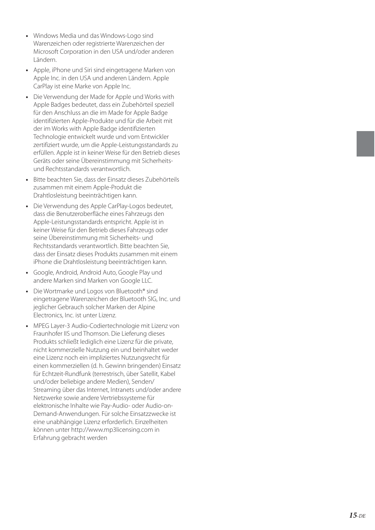- Windows Media und das Windows-Logo sind Warenzeichen oder registrierte Warenzeichen der Microsoft Corporation in den USA und/oder anderen Ländern.
- Apple, iPhone und Siri sind eingetragene Marken von Apple Inc. in den USA und anderen Ländern. Apple CarPlay ist eine Marke von Apple Inc.
- **•** Die Verwendung der Made for Apple und Works with Apple Badges bedeutet, dass ein Zubehörteil speziell für den Anschluss an die im Made for Apple Badge identifizierten Apple-Produkte und für die Arbeit mit der im Works with Apple Badge identifizierten Technologie entwickelt wurde und vom Entwickler zertifiziert wurde, um die Apple-Leistungsstandards zu erfüllen. Apple ist in keiner Weise für den Betrieb dieses Geräts oder seine Übereinstimmung mit Sicherheitsund Rechtsstandards verantwortlich.
- Bitte beachten Sie, dass der Einsatz dieses Zubehörteils zusammen mit einem Apple-Produkt die Drahtlosleistung beeinträchtigen kann.
- Die Verwendung des Apple CarPlay-Logos bedeutet, dass die Benutzeroberfläche eines Fahrzeugs den Apple-Leistungsstandards entspricht. Apple ist in keiner Weise für den Betrieb dieses Fahrzeugs oder seine Übereinstimmung mit Sicherheits- und Rechtsstandards verantwortlich. Bitte beachten Sie, dass der Einsatz dieses Produkts zusammen mit einem iPhone die Drahtlosleistung beeinträchtigen kann.
- Google, Android, Android Auto, Google Play und andere Marken sind Marken von Google LLC.
- Die Wortmarke und Logos von Bluetooth® sind eingetragene Warenzeichen der Bluetooth SIG, Inc. und jeglicher Gebrauch solcher Marken der Alpine Electronics, Inc. ist unter Lizenz.
- MPEG Layer-3 Audio-Codiertechnologie mit Lizenz von Fraunhofer IIS und Thomson. Die Lieferung dieses Produkts schließt lediglich eine Lizenz für die private, nicht kommerzielle Nutzung ein und beinhaltet weder eine Lizenz noch ein impliziertes Nutzungsrecht für einen kommerziellen (d. h. Gewinn bringenden) Einsatz für Echtzeit-Rundfunk (terrestrisch, über Satellit, Kabel und/oder beliebige andere Medien), Senden/ Streaming über das Internet, Intranets und/oder andere Netzwerke sowie andere Vertriebssysteme für elektronische Inhalte wie Pay-Audio- oder Audio-on-Demand-Anwendungen. Für solche Einsatzzwecke ist eine unabhängige Lizenz erforderlich. Einzelheiten können unter http://www.mp3licensing.com in Erfahrung gebracht werden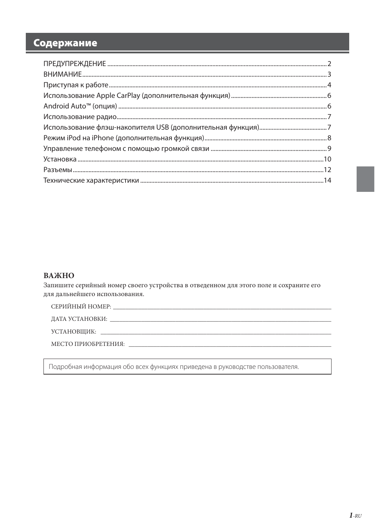### Содержание

### ВАЖНО

Запишите серийный номер своего устройства в отведенном для этого поле и сохраните его для дальнейшего использования.

УСТАНОВЩИК:

Подробная информация обо всех функциях приведена в руководстве пользователя.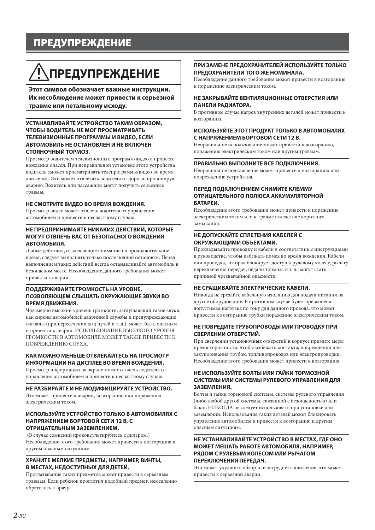### **ПРЕДУПРЕЖДЕНИЕ**

## **ПРЕДУПРЕЖДЕНИЕ**

**Этот символ обозначает важные инструкции. Их несоблюдение может привести к серьезной травме или летальному исходу.**

#### **УСТАНАВЛИВАЙТЕ УСТРОЙСТВО ТАКИМ ОБРАЗОМ, ЧТОБЫ ВОДИТЕЛЬ НЕ МОГ ПРОСМАТРИВАТЬ ТЕЛЕВИЗИОННЫЕ ПРОГРАММЫ И ВИДЕО, ЕСЛИ АВТОМОБИЛЬ НЕ ОСТАНОВЛЕН И НЕ ВКЛЮЧЕН СТОЯНОЧНЫЙ ТОРМОЗ.**

Просмотр водителем телевизионных программ/видео в процессе вождения опасен. При неправильной установке этого устройства водитель сможет просматривать телепрограммы/видео во время движения. Это может отвлекать водителя от дороги, провоцируя аварию. Водитель или пассажиры могут получить серьезные травмы.

#### **НЕ СМОТРИТЕ ВИДЕО ВО ВРЕМЯ ВОЖДЕНИЯ.**

Просмотр видео может отвлечь водителя от управления автомобилем и привести к несчастному случаю.

#### **НЕ ПРЕДПРИНИМАЙТЕ НИКАКИХ ДЕЙСТВИЙ, КОТОРЫЕ МОГУТ ОТВЛЕЧЬ ВАС ОТ БЕЗОПАСНОГО ВОЖДЕНИЯ АВТОМОБИЛЯ.**

Любые действия, отвлекающие внимание на продолжительное время, следует выполнять только после полной остановки. Перед выполнением таких действий всегда останавливайте автомобиль в безопасном месте. Несоблюдение данного требования может привести к аварии.

#### **ПОДДЕРЖИВАЙТЕ ГРОМКОСТЬ НА УРОВНЕ, ПОЗВОЛЯЮЩЕМ СЛЫШАТЬ ОКРУЖАЮЩИЕ ЗВУКИ ВО ВРЕМЯ ДВИЖЕНИЯ.**

Чрезмерно высокий уровень громкости, заглушающий такие звуки, как сирены автомобилей аварийной службы и предупреждающие сигналы (при пересечении ж/д путей и т. д.), может быть опасным и привести к аварии. ИСПОЛЬЗОВАНИЕ ВЫСОКОГО УРОВНЯ ГРОМКОСТИ В АВТОМОБИЛЕ МОЖЕТ ТАКЖЕ ПРИВЕСТИ К ПОВРЕЖДЕНИЮ СЛУХА.

#### **КАК МОЖНО МЕНЬШЕ ОТВЛЕКАЙТЕСЬ НА ПРОСМОТР ИНФОРМАЦИИ НА ДИСПЛЕЕ ВО ВРЕМЯ ВОЖДЕНИЯ.**

Просмотр информации на экране может отвлечь водителя от управления автомобилем и привести к несчастному случаю.

#### **НЕ РАЗБИРАЙТЕ И НЕ МОДИФИЦИРУЙТЕ УСТРОЙСТВО.**

Это может привести к аварии, возгоранию или поражению электрическим током.

#### **ИСПОЛЬЗУЙТЕ УСТРОЙСТВО ТОЛЬКО В АВТОМОБИЛЯХ С НАПРЯЖЕНИЕМ БОРТОВОЙ СЕТИ 12 В, С ОТРИЦАТЕЛЬНЫМ ЗАЗЕМЛЕНИЕМ.**

 (В случае сомнений проконсультируйтесь с дилером.) Несоблюдение этого требования может привести к возгоранию и другим опасным ситуациям.

#### **ХРАНИТЕ МЕЛКИЕ ПРЕДМЕТЫ, НАПРИМЕР, ВИНТЫ, В МЕСТАХ, НЕДОСТУПНЫХ ДЛЯ ДЕТЕЙ.**

Проглатывание таких предметов может привести к серьезным травмам. Если ребенок проглотил подобный предмет, немедленно обратитесь к врачу.

#### **ПРИ ЗАМЕНЕ ПРЕДОХРАНИТЕЛЕЙ ИСПОЛЬЗУЙТЕ ТОЛЬКО ПРЕДОХРАНИТЕЛИ ТОГО ЖЕ НОМИНАЛА.**

Несоблюдение данного требования может привести к возгоранию и поражению электрическим током.

#### **НЕ ЗАКРЫВАЙТЕ ВЕНТИЛЯЦИОННЫЕ ОТВЕРСТИЯ ИЛИ ПАНЕЛИ РАДИАТОРА.**

В противном случае нагрев внутренних деталей может привести к возгоранию.

#### **ИСПОЛЬЗУЙТЕ ЭТОТ ПРОДУКТ ТОЛЬКО В АВТОМОБИЛЯХ С НАПРЯЖЕНИЕМ БОРТОВОЙ СЕТИ 12 В.**

Неправильное использование может привести к возгоранию, поражению электрическим током или другим травмам.

#### **ПРАВИЛЬНО ВЫПОЛНИТЕ ВСЕ ПОДКЛЮЧЕНИЯ.**

Неправильное подключение может привести к возгоранию или повреждению устройства.

#### **ПЕРЕД ПОДКЛЮЧЕНИЕМ СНИМИТЕ КЛЕММУ ОТРИЦАТЕЛЬНОГО ПОЛЮСА АККУМУЛЯТОРНОЙ БАТАРЕИ.**

Несоблюдение этого требования может привести к поражению электрическим током или к травме вследствие короткого замыкания.

#### **НЕ ДОПУСКАЙТЕ СПЛЕТЕНИЯ КАБЕЛЕЙ С ОКРУЖАЮЩИМИ ОБЪЕКТАМИ.**

Прокладывайте проводку и кабели в соответствии с инструкциями в руководстве, чтобы избежать помех во время вождения. Кабели или проводка, которая блокирует доступ к рулевому колесу, рычагу переключения передач, педали тормоза и т. д., могут стать причиной чрезвычайной опасности.

#### **НЕ СРАЩИВАЙТЕ ЭЛЕКТРИЧЕСКИЕ КАБЕЛИ.**

Никогда не срезайте кабельную изоляцию для подачи питания на другое оборудование. В противном случае будет превышена допустимая нагрузка по току для данного провода, что может привести к возгоранию трубки поражению электрическим током.

#### **НЕ ПОВРЕДИТЕ ТРУБОПРОВОДЫ ИЛИ ПРОВОДКУ ПРИ СВЕРЛЕНИИ ОТВЕРСТИЙ.**

При сверлении установочных отверстий в корпусе примите меры предосторожности, чтобы избежать контакта, повреждения или закупоривания трубок, топливопроводов или электропроводки. Несоблюдение этого требования может привести к возгоранию.

#### **НЕ ИСПОЛЬЗУЙТЕ БОЛТЫ ИЛИ ГАЙКИ ТОРМОЗНОЙ СИСТЕМЫ ИЛИ СИСТЕМЫ РУЛЕВОГО УПРАВЛЕНИЯ ДЛЯ ЗАЗЕМЛЕНИЯ.**

Болты и гайки тормозной системы, системы рулевого управления (либо любой другой системы, связанной с безопасностью) или баков НИКОГДА не следует использовать при установке или заземлении. Использование таких деталей может блокировать управление автомобилем и привести к возгоранию и другим опасным ситуациям.

#### **НЕ УСТАНАВЛИВАЙТЕ УСТРОЙСТВО В МЕСТАХ, ГДЕ ОНО МОЖЕТ МЕШАТЬ РАБОТЕ АВТОМОБИЛЯ, НАПРИМЕР, РЯДОМ С РУЛЕВЫМ КОЛЕСОМ ИЛИ РЫЧАГОМ ПЕРЕКЛЮЧЕНИЯ ПЕРЕДАЧ.**

Это может ухудшить обзор или затруднить движение, что может привести к серьезной аварии.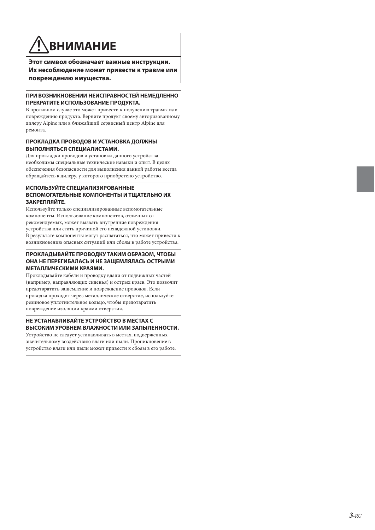## **ВНИМАНИЕ**

**Этот символ обозначает важные инструкции. Их несоблюдение может привести к травме или повреждению имущества.**

#### **ПРИ ВОЗНИКНОВЕНИИ НЕИСПРАВНОСТЕЙ НЕМЕДЛЕННО ПРЕКРАТИТЕ ИСПОЛЬЗОВАНИЕ ПРОДУКТА.**

В противном случае это может привести к получению травмы или повреждению продукта. Верните продукт своему авторизованному дилеру Alpine или в ближайший сервисный центр Alpine для ремонта.

#### **ПРОКЛАДКА ПРОВОДОВ И УСТАНОВКА ДОЛЖНЫ ВЫПОЛНЯТЬСЯ СПЕЦИАЛИСТАМИ.**

Для прокладки проводов и установки данного устройства необходимы специальные технические навыки и опыт. В целях обеспечения безопасности для выполнения данной работы всегда обращайтесь к дилеру, у которого приобретено устройство.

#### **ИСПОЛЬЗУЙТЕ СПЕЦИАЛИЗИРОВАННЫЕ ВСПОМОГАТЕЛЬНЫЕ КОМПОНЕНТЫ И ТЩАТЕЛЬНО ИХ ЗАКРЕПЛЯЙТЕ.**

Используйте только специализированные вспомогательные компоненты. Использование компонентов, отличных от рекомендуемых, может вызвать внутренние повреждения устройства или стать причиной его ненадежной установки. В результате компоненты могут расшататься, что может привести к возникновению опасных ситуаций или сбоям в работе устройства.

#### **ПРОКЛАДЫВАЙТЕ ПРОВОДКУ ТАКИМ ОБРАЗОМ, ЧТОБЫ ОНА НЕ ПЕРЕГИБАЛАСЬ И НЕ ЗАЩЕМЛЯЛАСЬ ОСТРЫМИ МЕТАЛЛИЧЕСКИМИ КРАЯМИ.**

Прокладывайте кабели и проводку вдали от подвижных частей (например, направляющих сиденья) и острых краев. Это позволит предотвратить защемление и повреждение проводов. Если проводка проходит через металлическое отверстие, используйте резиновое уплотнительное кольцо, чтобы предотвратить повреждение изоляции краями отверстия.

### **НЕ УСТАНАВЛИВАЙТЕ УСТРОЙСТВО В МЕСТАХ С ВЫСОКИМ УРОВНЕМ ВЛАЖНОСТИ ИЛИ ЗАПЫЛЕННОСТИ.**

Устройство не следует устанавливать в местах, подверженных значительному воздействию влаги или пыли. Проникновение в устройство влаги или пыли может привести к сбоям в его работе.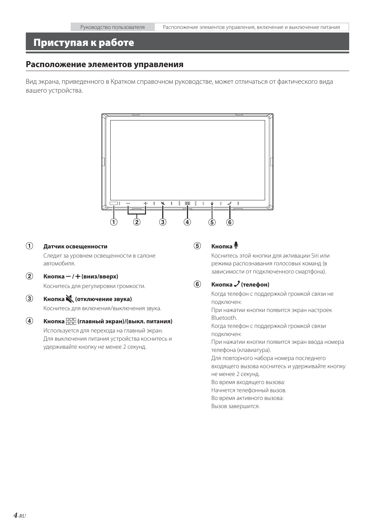### **Приступая к работе**

#### **Расположение элементов управления**

Вид экрана, приведенного в Кратком справочном руководстве, может отличаться от фактического вида вашего устройства.



### **Датчик освещенности**

Следит за уровнем освещенности в салоне автомобиля.

 $\overline{2}$  Кнопка – / <del>+</del> (вниз/вверх)

Коснитесь для регулировки громкости.

### **Кнопка (отключение звука)**

Коснитесь для включения/выключения звука.

### **Кнопка (главный экран)/(выкл. питания)**

Используется для перехода на главный экран. Для выключения питания устройства коснитесь и удерживайте кнопку не менее 2 секунд.

### **Кнопка**

Коснитесь этой кнопки для активации Siri или режима распознавания голосовых команд (в зависимости от подключенного смартфона).

### *<b>6* Кнопка / (телефон)

Когда телефон с поддержкой громкой связи не подключен:

При нажатии кнопки появится экран настроек Bluetooth.

Когда телефон с поддержкой громкой связи подключен:

При нажатии кнопки появится экран ввода номера телефона (клавиатура).

Для повторного набора номера последнего

входящего вызова коснитесь и удерживайте кнопку не менее 2 секунд.

Во время входящего вызова:

Начнется телефонный вызов.

Во время активного вызова:

Вызов завершится.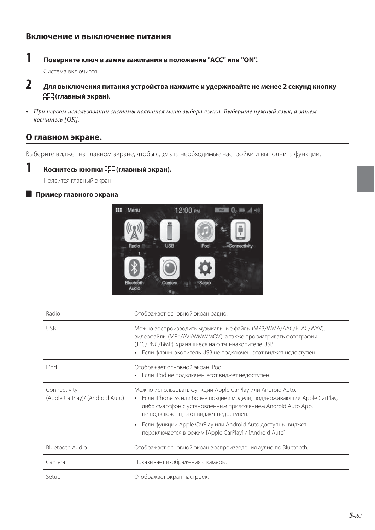### **1 Поверните ключ в замке зажигания в положение "ACC" или "ON".**

Система включится.

- **2 Для выключения питания устройства нажмите и удерживайте не менее 2 секунд кнопку (главный экран).**
- При первом использовании системы появится меню выбора языка. Выберите нужный язык, а затем коснитесь [OK].

### **О главном экране.**

Выберите виджет на главном экране, чтобы сделать необходимые настройки и выполнить функции.



Появится главный экран.

#### **Пример главного экрана**



| Radio                                           | Отображает основной экран радио.                                                                                                                                                                                                                                                                                                                                           |
|-------------------------------------------------|----------------------------------------------------------------------------------------------------------------------------------------------------------------------------------------------------------------------------------------------------------------------------------------------------------------------------------------------------------------------------|
| <b>USB</b>                                      | Можно воспроизводить музыкальные файлы (MP3/WMA/AAC/FLAC/WAV),<br>видеофайлы (MP4/AVI/WMV/MOV), а также просматривать фотографии<br>(JPG/PNG/BMP), хранящиеся на флэш-накопителе USB.<br>Если флэш-накопитель USB не подключен, этот виджет недоступен.                                                                                                                    |
| iPod                                            | Отображает основной экран iPod.<br>Если iPod не подключен, этот виджет недоступен.<br>٠                                                                                                                                                                                                                                                                                    |
| Connectivity<br>(Apple CarPlay)/ (Android Auto) | Можно использовать функции Apple CarPlay или Android Auto.<br>• Если iPhone 5s или более поздней модели, поддерживающий Apple CarPlay,<br>либо смартфон с установленным приложением Android Auto App,<br>не подключены, этот виджет недоступен.<br>Если функции Apple CarPlay или Android Auto доступны, виджет<br>переключается в режим [Apple CarPlay] / [Android Auto]. |
| Bluetooth Audio                                 | Отображает основной экран воспроизведения аудио по Bluetooth.                                                                                                                                                                                                                                                                                                              |
| Camera                                          | Показывает изображения с камеры.                                                                                                                                                                                                                                                                                                                                           |
| Setup                                           | Отображает экран настроек.                                                                                                                                                                                                                                                                                                                                                 |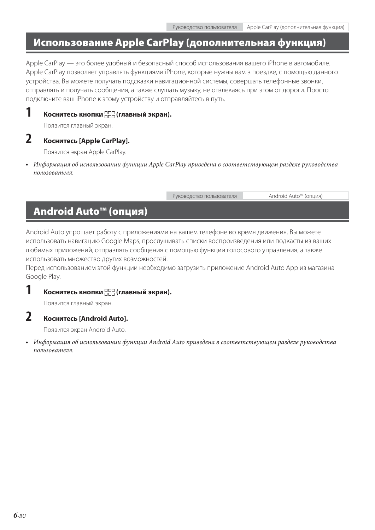### **Использование Apple CarPlay (дополнительная функция)**

Apple CarPlay — это более удобный и безопасный способ использования вашего iPhone в автомобиле. Apple CarPlay позволяет управлять функциями iPhone, которые нужны вам в поездке, с помощью данного устройства. Вы можете получать подсказки навигационной системы, совершать телефонные звонки, отправлять и получать сообщения, а также слушать музыку, не отвлекаясь при этом от дороги. Просто подключите ваш iPhone к этому устройству и отправляйтесь в путь.

### **1 Коснитесь кнопки (главный экран).**

Появится главный экран.

### **2 Коснитесь [Apple CarPlay].**

Появится экран Apple CarPlay.

**•** Информация об использовании функции Apple CarPlay приведена в соответствующем разделе руководства пользователя.

Руководство пользователя Android Auto™ (опция)

### **Android Auto™ (опция)**

Android Auto упрощает работу с приложениями на вашем телефоне во время движения. Вы можете использовать навигацию Google Maps, прослушивать списки воспроизведения или подкасты из ваших любимых приложений, отправлять сообщения с помощью функции голосового управления, а также использовать множество других возможностей.

Перед использованием этой функции необходимо загрузить приложение Android Auto App из магазина Google Play.

### **1 Коснитесь кнопки (главный экран).**

Появится главный экран.

### **2 Коснитесь [Android Auto].**

Появится экран Android Auto.

**•** Информация об использовании функции Android Auto приведена в соответствующем разделе руководства пользователя.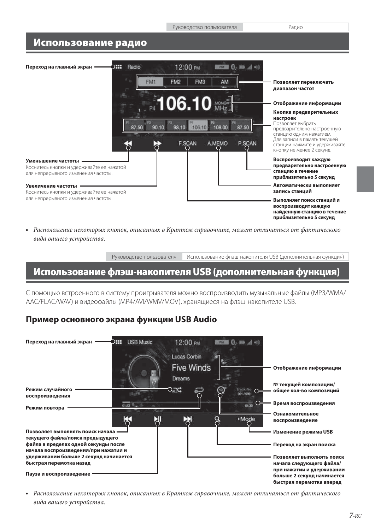### **Использование радио**



**•** Расположение некоторых кнопок, описанных в Кратком справочнике, может отличаться от фактического вида вашего устройства.

Руководство пользователя Использование флэш-накопителя USB (дополнительная функция)

### **Использование флэш-накопителя USB (дополнительная функция)**

С помощью встроенного в систему проигрывателя можно воспроизводить музыкальные файлы (MP3/WMA/ AAC/FLAC/WAV) и видеофайлы (MP4/AVI/WMV/MOV), хранящиеся на флэш-накопителе USB.

### **Пример основного экрана функции USB Audio**



**•** Расположение некоторых кнопок, описанных в Кратком справочнике, может отличаться от фактического вида вашего устройства.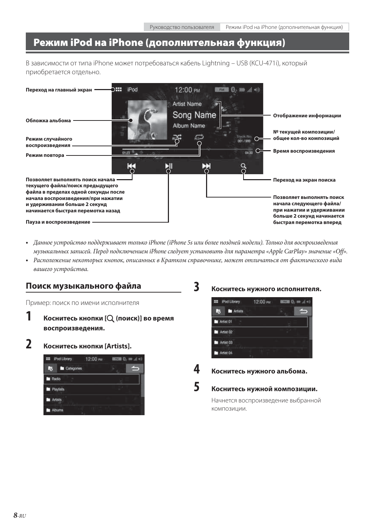### **Режим iPod на iPhone (дополнительная функция)**

В зависимости от типа iPhone может потребоваться кабель Lightning – USB (KCU-471i), который приобретается отдельно.



- Данное устройство поддерживает только iPhone (iPhone 5s или более поздней модели). Только для воспроизведения музыкальных записей. Перед подключением iPhone следует установить для параметра «Apple CarPlay» значение «Off».
- Расположение некоторых кнопок, описанных в Кратком справочнике, может отличаться от фактического вида вашего устройства.

### **Поиск музыкального файла**

Пример: поиск по имени исполнителя

- **1 Коснитесь кнопки [ (поиск)] во время воспроизведения.**
- **2 Коснитесь кнопки [Artists].**

| <b>III</b> iPod Library | 12:00 PM | $74.72$ E |  |
|-------------------------|----------|-----------|--|
| Categories<br>局         |          |           |  |
| <b>Radio</b>            |          |           |  |
| Playtists               |          |           |  |
| Artists                 |          |           |  |
| <b>Albums</b>           |          |           |  |

### **3 Коснитесь нужного исполнителя.**

| <b>222</b> iPod Library | 12:00 PM | $m = 0$ , $m \neq$ |  |
|-------------------------|----------|--------------------|--|
| <b>M</b> Artists<br>г.  |          |                    |  |
| Artist 01               |          |                    |  |
| Artist 02               |          |                    |  |
| Artist 03               |          |                    |  |
| Artist 04               |          |                    |  |

### **4 Коснитесь нужного альбома.**

### **5 Коснитесь нужной композиции.**

Начнется воспроизведение выбранной композиции.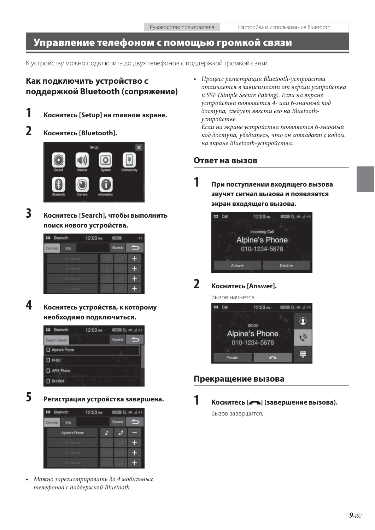### **Управление телефоном с помощью громкой связи**

К устройству можно подключить до двух телефонов с поддержкой громкой связи.

### **Как подключить устройство с поддержкой Bluetooth (сопряжение)**



### **1 Коснитесь [Setup] на главном экране.**

### **2 Коснитесь [Bluetooth].**



**3 Коснитесь [Search], чтобы выполнить поиск нового устройства.**



**4 Коснитесь устройства, к которому необходимо подключиться.**



**5 Регистрация устройства завершена.**



**•** Можно зарегистрировать до 4 мобильных телефонов с поддержкой Bluetooth.

**•** Процесс регистрации Bluetooth-устройства отличается в зависимости от версии устройства и SSP (Simple Secure Pairing). Если на экране устройства появляется 4- или 6-значный код доступа, следует ввести его на Bluetoothустройстве.

Если на экране устройства появляется 6-значный код доступа, убедитесь, что он совпадает с кодом на экране Bluetooth-устройства.

### **Ответ на вызов**

**1 При поступлении входящего вызова звучит сигнал вызова и появляется экран входящего вызова.**



### **2 Коснитесь [Answer].**

Вызов начнется.



### **Прекращение вызова**

**1 Коснитесь [ ] (завершение вызова).**

Вызов завершится.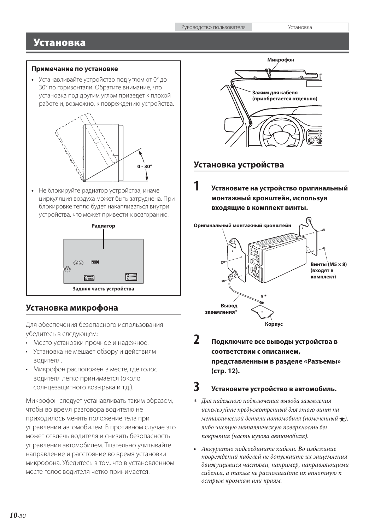### **Установка**

### **Примечание по установке**

**•** Устанавливайте устройство под углом от 0° до 30° по горизонтали. Обратите внимание, что установка под другим углом приведет к плохой работе и, возможно, к повреждению устройства.



**•** Не блокируйте радиатор устройства, иначе циркуляция воздуха может быть затруднена. При блокировке тепло будет накапливаться внутри устройства, что может привести к возгоранию.



### **Установка микрофона**

Для обеспечения безопасного использования убедитесь в следующем:

- Место установки прочное и надежное.
- Установка не мешает обзору и действиям водителя.
- Микрофон расположен в месте, где голос водителя легко принимается (около солнцезащитного козырька и т.д.).

Микрофон следует устанавливать таким образом, чтобы во время разговора водителю не приходилось менять положение тела при управлении автомобилем. В противном случае это может отвлечь водителя и снизить безопасность управления автомобилем. Тщательно учитывайте направление и расстояние во время установки микрофона. Убедитесь в том, что в установленном месте голос водителя четко принимается.



### **Установка устройства**

**1 Установите на устройство оригинальный монтажный кронштейн, используя входящие в комплект винты.**



**2 Подключите все выводы устройства в соответствии с описанием, представленным в разделе «Разъемы» (стр. 12).**

### **3 Установите устройство в автомобиль.**

- Для надежного подключения вывода заземления используйте предусмотренный для этого винт на металлической детали автомобиля (помеченный  $\bigstar$ ), либо чистую металлическую поверхность без покрытия (часть кузова автомобиля).
- Аккуратно подсоедините кабели. Во избежание повреждений кабелей не допускайте их защемления движущимися частями, например, направляющими сиденья, а также не располагайте их вплотную к острым кромкам или краям.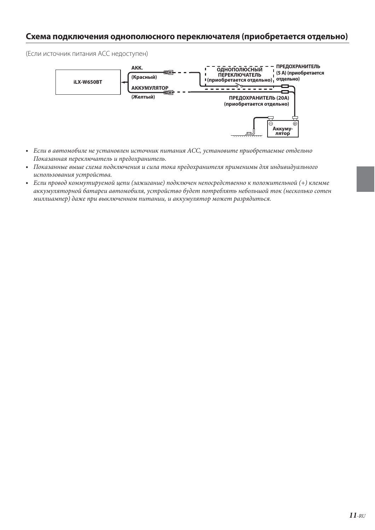### **Схема подключения однополюсного переключателя (приобретается отдельно)**

(Если источник питания ACC недоступен)



- Если в автомобиле не установлен источник питания ACC, установите приобретаемые отдельно Показанная переключатель и предохранитель.
- Показанные выше схема подключения и сила тока предохранителя применимы для индивидуального использования устройства.
- Если провод коммутируемой цепи (зажигание) подключен непосредственно к положительной (+) клемме аккумуляторной батареи автомобиля, устройство будет потреблять небольшой ток (несколько сотен миллиампер) даже при выключенном питании, и аккумулятор может разрядиться.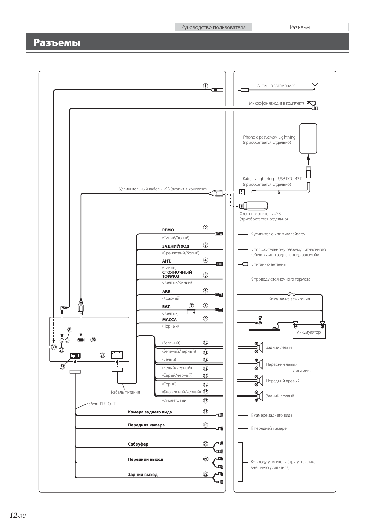Руководство пользователя Разъемы

### **Разъемы**

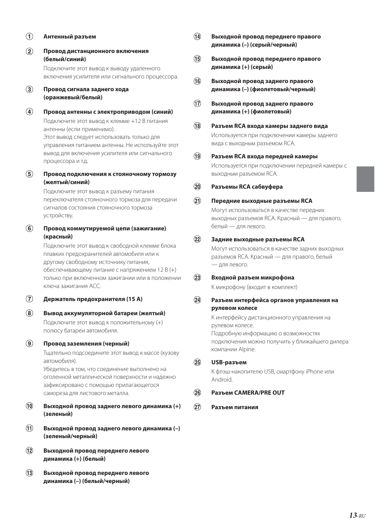### **Антенный разъем**

 **Провод дистанционного включения (белый/синий)**

> Подключите этот вывод к выводу удаленного включения усилителя или сигнального процессора.

### **Провод сигнала заднего хода (оранжевый/белый)**

- **Провод антенны с электроприводом (синий)** Подключите этот вывод к клемме +12 B питания антенны (если применимо). Этот вывод следует использовать только для управления питанием антенны. Не используйте этот вывод для включения усилителя или сигнального процессора и т.д.
- **Провод подключения к стояночному тормозу (желтый/синий)**

Подключите этот вывод к разъему питания переключателя стояночного тормоза для передачи сигналов состояния стояночного тормоза устройству.

 **Провод коммутируемой цепи (зажигание) (красный)**

> Подключите этот вывод к свободной клемме блока плавких предохранителей автомобиля или к другому свободному источнику питания, обеспечивающему питание с напряжением 12 В (+) только при включенном зажигании или в положении ключа зажигания ACC.

- **Держатель предохранителя (15 А)**
- **Вывод аккумуляторной батареи (желтый)** Подключите этот вывод к положительному (+) полюсу батареи автомобиля.

#### **Провод заземления (черный)**

Тщательно подсоедините этот вывод к массе (кузову автомобиля).

Убедитесь в том, что соединение выполнено на оголенной металлической поверхности и надежно зафиксировано с помощью прилагающегося самореза для листового металла.

- **Выходной провод заднего левого динамика (+) (зеленый)**
- **Выходной провод заднего левого динамика (–) (зеленый/черный)**
- **Выходной провод переднего левого динамика (+) (белый)**
- **Выходной провод переднего левого динамика (–) (белый/черный)**
- **Выходной провод переднего правого динамика (–) (серый/черный)**
- **Выходной провод переднего правого динамика (+) (серый)**
- **Выходной провод заднего правого динамика (–) (фиолетовый/черный)**
- **Выходной провод заднего правого динамика (+) (фиолетовый)**
- **Разъем RCA входа камеры заднего вида** Используется при подключении камеры заднего вида с выходным разъемом RCA.
- **Разъем RCA входа передней камеры** Используется при подключении передней камеры с выходным разъемом RCA.
- **Разъемы RCA сабвуфера**

### **Передние выходные разъемы RCA**

Могут использоваться в качестве передних выходных разъемов RCA. Красный — для правого, белый — для левого.

#### **Задние выходные разъемы RCA**

Могут использоваться в качестве задних выходных разъемов RCA. Красный — для правого, белый — для левого.

 **Входной разъем микрофона**

К микрофону (входит в комплект)

 **Разъем интерфейса органов управления на рулевом колесе**

> К интерфейсу дистанционного управления на рулевом колесе. Подробную информацию о возможностях подключения можно получить у ближайшего дилера компании Alpine.

 **USB-разъем**

К флэш-накопителю USB, смартфону iPhone или Android.

### **Разъем CAMERA/PRE OUT**

 **Разъем питания**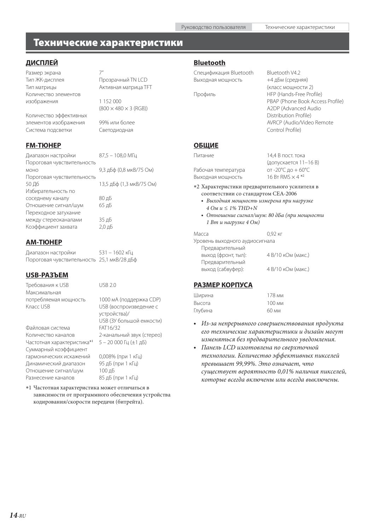### **Технические характеристики**

### **ДИСПЛЕЙ**

Размер экрана 7' Тип ЖК-дисплея Прозрачный TN LCD Тип матрицы Активная матрица TFT Количество элементов изображения 1 152 000

 $(800 \times 480 \times 3 \text{ (RGB))}$ 

Количество эффективных элементов изображения 99% или более Система подсветки Светодиодная

### **FM-ТЮНЕР**

Диапазон настройки 87,5 – 108,0 МГц Пороговая чувствительность моно 9,3 дБф (0,8 мкВ/75 Ом) Пороговая чувствительность 50 Дб 13,5 дБф (1,3 мкВ/75 Ом) Избирательность по соседнему каналу 80 дБ Отношение сигнал/шум 65 дБ Переходное затухание между стереоканалами 35 дБ Коэффициент захвата 2,0 дБ

### **AM-ТЮНЕР**

Диапазон настройки 531 – 1602 кГц Пороговая чувствительность 25,1 мкВ/28 дБф

### **USB-РАЗЪЕМ**

Максимальная

Файловая система FAT16/32 Количество каналов 2-канальный звук (стерео) Частотная характеристика\*<sup>1</sup> Суммарный коэффициент гармонических искажений 0,008% (при 1 кГц) Динамический диапазон 95 дБ (при 1 кГц) Отношение сигнал/шум 100 дБ Разнесение каналов 85 дБ (при 1 кГц)

Требования к USB USB 2.0

потребляемая мощность 1000 мA (поддержка CDP) USB (воспроизведение с устройства)/ USB (ЗУ большой емкости) 5 – 20 000 Гц (±1 дБ)

 1 Частотная характеристика может отличаться в зависимости от программного обеспечения устройства кодирования/скорости передачи (битрейта).

### **Bluetooth**

Спецификация Bluetooth Bluetooth V4.2 Выходная мощность +4 дБм (средняя)

(класс мощности 2) Профиль HFP (Hands-Free Profile) PBAP (Phone Book Access Profile) A2DP (Advanced Audio Distribution Profile) AVRCP (Audio/Video Remote Control Profile)

### **ОБЩИЕ**

Питание 14,4 В пост. тока (допускается 11–16 В) Рабочая температура от -20°C до + 60°C Выходная мощность 16 Вт RMS × 4 \*<sup>2</sup> 2 Характеристики предварительного усилителя в соответствии со стандартом CEA-2006 **•** Выходная мощность измерена при нагрузке 4 Ом и  $\leq$  1% THD+N **•** Отношение сигнал/шум: 80 дБа (при мощности 1 Вт и нагрузке 4 Ом) Масса 0,92 кг Уровень выходного аудиосигнала Предварительный выход (фронт, тыл): 4 В/10 кОм (макс.) Предварительный

выход (сабвуфер): 4 В/10 кОм (макс.)

### **РАЗМЕР КОРПУСА**

| Ширина  | 178 <sub>MM</sub> |
|---------|-------------------|
| Высота  | 100 <sub>MM</sub> |
| Глубина | 60 мм             |

- Из-за непрерывного совершенствования продукта его технические характеристики и дизайн могут изменяться без предварительного уведомления.
- Панель LCD изготовлена по сверхточной технологии. Количество эффективных пикселей превышает 99,99%. Это означает, что существует вероятность 0,01% наличия пикселей, которые всегда включены или всегда выключены.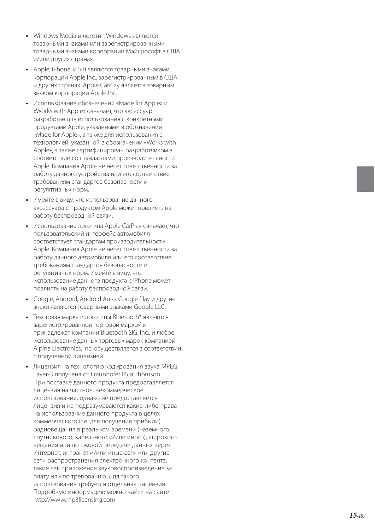- Windows Media и логотип Windows являются товарными знаками или зарегистрированными товарными знаками корпорации Майкрософт в США и/или других странах.
- Apple, iPhone, и Siri являются товарными знаками корпорации Apple Inc., зарегистрированным в США и других странах. Apple CarPlay является товарным знаком корпорации Apple Inc.
- Использование обозначений «Made for Apple» и «Works with Apple» означает, что аксессуар разработан для использования с конкретными продуктами Apple, указанными в обозначении «Made for Apple», а также для использования с технологией, указанной в обозначении «Works with Apple», а также сертифицирован разработчиком в соответствии со стандартами производительности Apple. Компания Apple не несет ответственности за работу данного устройства или его соответствие требованиям стандартов безопасности и регулятивных норм.
- Имейте в виду, что использование данного аксессуара с продуктом Apple может повлиять на работу беспроводной связи.
- Использование логотипа Apple CarPlay означает, что пользовательский интерфейс автомобиля соответствует стандартам производительности Apple. Компания Apple не несет ответственности за работу данного автомобиля или его соответствие требованиям стандартов безопасности и регулятивных норм. Имейте в виду, что использование данного продукта с iPhone может повлиять на работу беспроводной связи.
- Google, Android, Android Auto, Google Play и другие знаки являются товарными знаками Google LLC.
- Текстовая марка и логотипы Bluetooth® являются зарегистрированной торговой маркой и принадлежат компании Bluetooth SIG, Inc., и любое использование данных торговых марок компанией Alpine Electronics, Inc. осуществляется в соответствии с полученной лицензией.
- Лицензия на технологию кодирования звука MPEG Layer-3 получена от Fraunhofer IIS и Thomson. При поставке данного продукта предоставляется лицензия на частное, некоммерческое использование, однако не предоставляется лицензия и не подразумеваются какие-либо права на использование данного продукта в целях коммерческого (т.е. для получения прибыли) радиовещания в реальном времени (наземного, спутникового, кабельного и/или иного), широкого вещания или потоковой передачи данных через Интернет, интранет и/или иные сети или другие сети распространения электронного контента, такие как приложения звуковоспроизведения за плату или по требованию. Для такого использования требуется отдельная лицензия. Подробную информацию можно найти на сайте http://www.mp3licensing.com